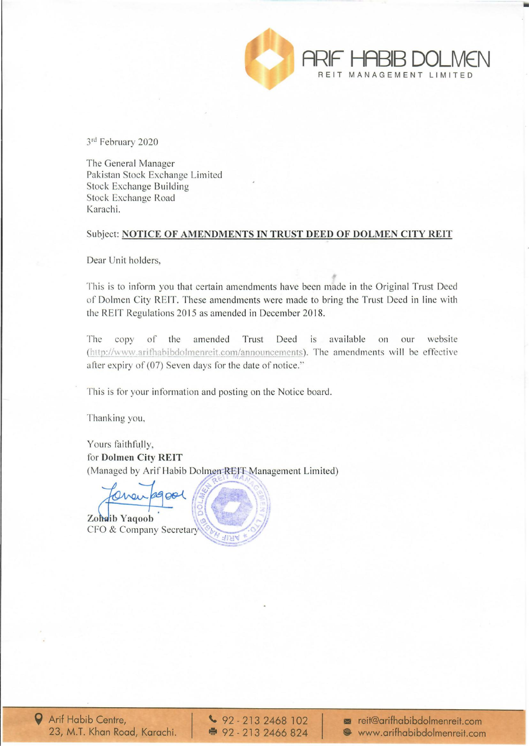

3rd February 2020

The General Manager Pakistan Stock Exchange Limited Stock Exchange Building Stock Exchange Road Karachi.

#### Subject: NOTICE OF AMENDMENTS IN TRUST DEED OF DOLMEN CITY REIT

Dear Unit holders,

This is to inform you that certain amendments have been made in the Original Trust Deed of Dolmen City REIT. These amendments were made to bring the Trust Deed in line with the REIT Regulations 2015 as amended in December 2018.

The copy of the amended Trust Deed is available on our website (http://www.arifhabibdolmenreit.com/announcements). The amendments will be effective after expiry of (07) Seven days for the date of notice."

This is for your information and posting on the Notice board.

Thanking you,

Yours faithfully, for Dolmen City REIT (Managed by Arif Habib Dolmen REIT Management Limited)

2900l  $0<sub>101</sub>$ 

Zohaib Yaqoob CFO & Company Secretary



 $\big\vee$  92 - 213 2468 102 ● 92 - 213 2466 824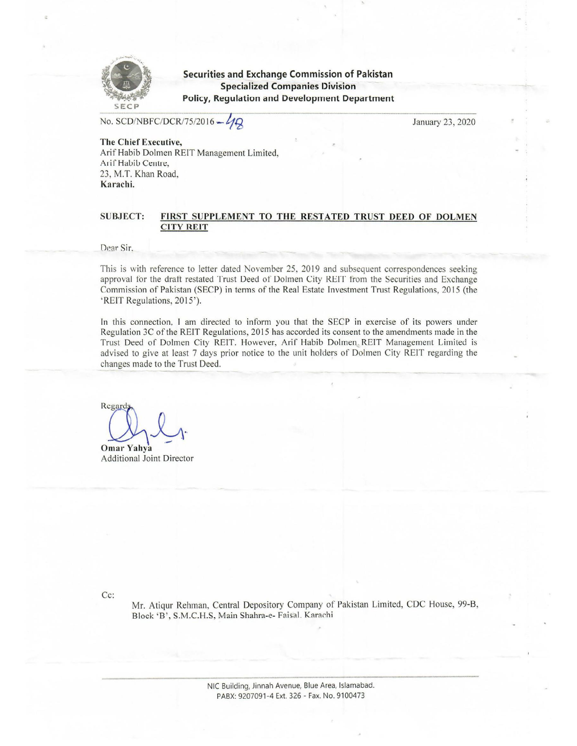

**Securities and Exchange Commission of Pakistan Specialized Companies Division Policy, Regulation and Development Department** 

No. SCD/NBFC/DCR/75/2016 - 4Q

January 23, 2020

The Chief Executive, Arif Habib Dolmen REIT Management Limited, Arif Habib Centre, 23, M.T. Khan Road, Karachi.

#### **SUBJECT:** FIRST SUPPLEMENT TO THE RESTATED TRUST DEED OF DOLMEN **CITY REIT**

Dear Sir.

This is with reference to letter dated November 25, 2019 and subsequent correspondences seeking approval for the draft restated Trust Deed of Dolmen City REIT from the Securities and Exchange Commission of Pakistan (SECP) in terms of the Real Estate Investment Trust Regulations, 2015 (the 'REIT Regulations, 2015').

In this connection, I am directed to inform you that the SECP in exercise of its powers under Regulation 3C of the REIT Regulations, 2015 has accorded its consent to the amendments made in the Trust Deed of Dolmen City REIT. However, Arif Habib Dolmen REIT Management Limited is advised to give at least 7 days prior notice to the unit holders of Dolmen City REIT regarding the changes made to the Trust Deed.

Regard **Omar Yahva** 

**Additional Joint Director** 

 $Cc$ :

Mr. Atiqur Rehman, Central Depository Company of Pakistan Limited, CDC House, 99-B, Block 'B', S.M.C.H.S, Main Shahra-e- Faisal. Karachi

> NIC Building, Jinnah Avenue, Blue Area, Islamabad. PABX: 9207091-4 Ext. 326 - Fax. No. 9100473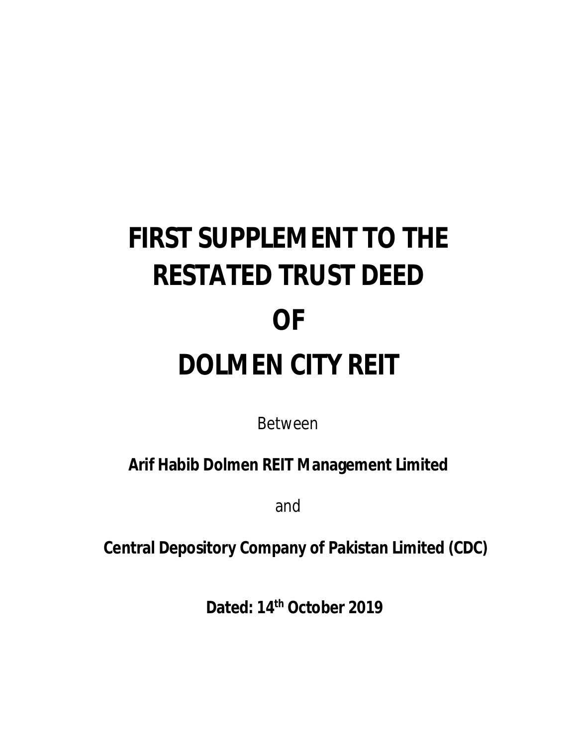# **FIRST SUPPLEMENT TO THE RESTATED TRUST DEED OF DOLMEN CITY REIT**

Between

**Arif Habib Dolmen REIT Management Limited**

and

 **Central Depository Company of Pakistan Limited (CDC)**

**Dated: 14th October 2019**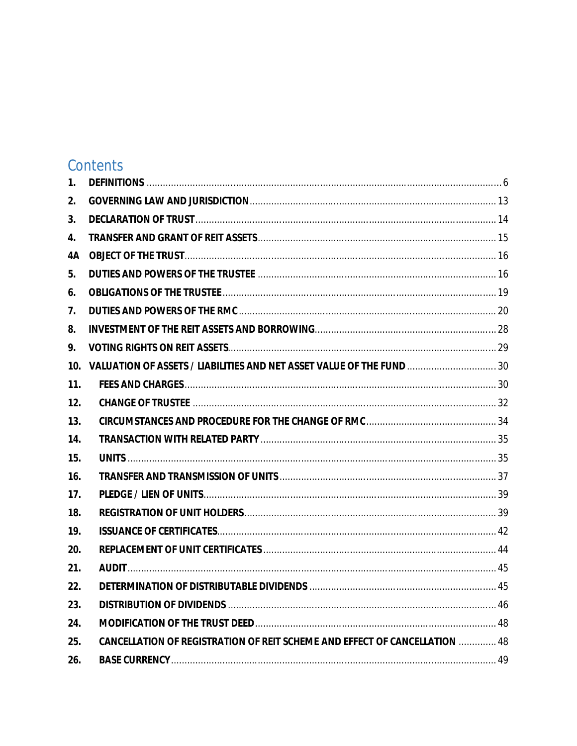# Contents

| 1.              |                                                                                   |  |
|-----------------|-----------------------------------------------------------------------------------|--|
| 2.              |                                                                                   |  |
| 3.              |                                                                                   |  |
| 4.              |                                                                                   |  |
| 4A              |                                                                                   |  |
| 5.              |                                                                                   |  |
| 6.              |                                                                                   |  |
| 7.              |                                                                                   |  |
| 8.              |                                                                                   |  |
| 9.              |                                                                                   |  |
| 10.             |                                                                                   |  |
| 11 <sub>1</sub> |                                                                                   |  |
| 12.             |                                                                                   |  |
| 13.             |                                                                                   |  |
| 14.             |                                                                                   |  |
| 15.             |                                                                                   |  |
| 16.             |                                                                                   |  |
| 17.             |                                                                                   |  |
| 18.             |                                                                                   |  |
| 19.             |                                                                                   |  |
| 20.             |                                                                                   |  |
| 21.             |                                                                                   |  |
| 22.             |                                                                                   |  |
| 23.             |                                                                                   |  |
| 24.             |                                                                                   |  |
| 25.             | <b>CANCELLATION OF REGISTRATION OF REIT SCHEME AND EFFECT OF CANCELLATION  48</b> |  |
| 26.             |                                                                                   |  |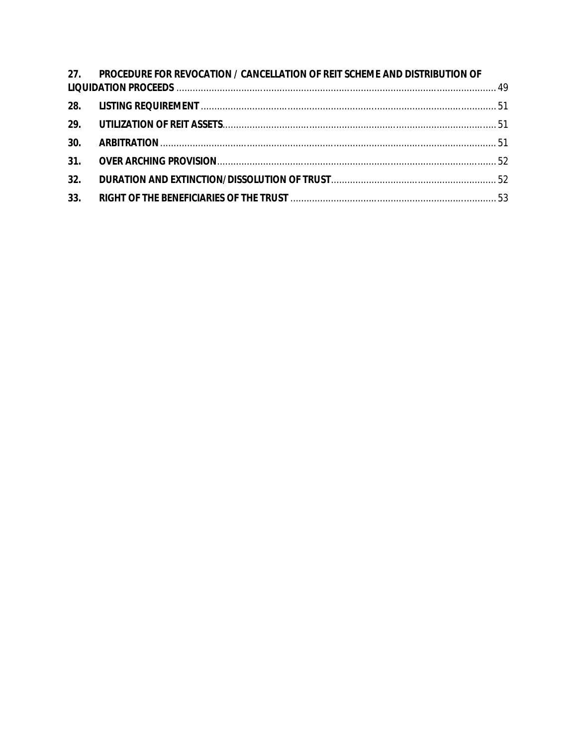| 27. PROCEDURE FOR REVOCATION / CANCELLATION OF REIT SCHEME AND DISTRIBUTION OF |  |
|--------------------------------------------------------------------------------|--|
|                                                                                |  |
|                                                                                |  |
|                                                                                |  |
|                                                                                |  |
|                                                                                |  |
|                                                                                |  |
|                                                                                |  |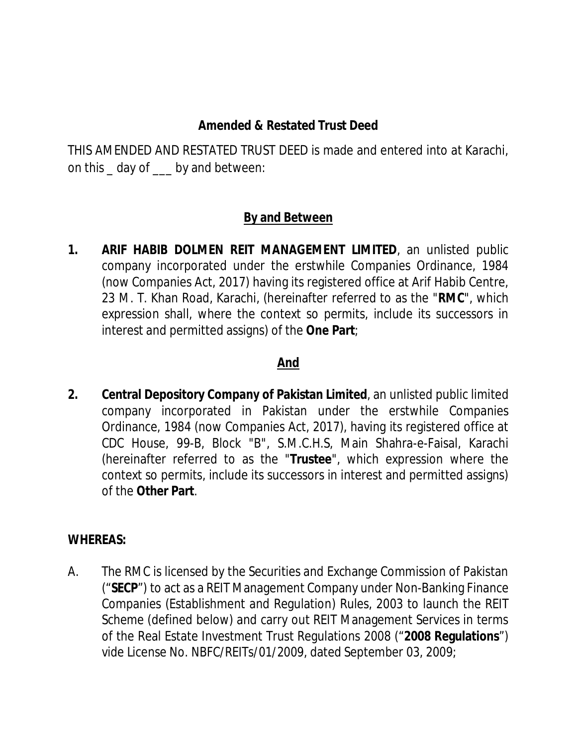#### **Amended & Restated Trust Deed**

THIS AMENDED AND RESTATED TRUST DEED is made and entered into at Karachi, on this \_ day of \_\_\_ by and between:

#### **By and Between**

**1. ARIF HABIB DOLMEN REIT MANAGEMENT LIMITED**, an unlisted public company incorporated under the erstwhile Companies Ordinance, 1984 (now Companies Act, 2017) having its registered office at Arif Habib Centre, 23 M. T. Khan Road, Karachi, (hereinafter referred to as the "**RMC**", which expression shall, where the context so permits, include its successors in interest and permitted assigns) of the **One Part**;

#### **And**

**2. Central Depository Company of Pakistan Limited**, an unlisted public limited company incorporated in Pakistan under the erstwhile Companies Ordinance, 1984 (now Companies Act, 2017), having its registered office at CDC House, 99-B, Block "B", S.M.C.H.S, Main Shahra-e-Faisal, Karachi (hereinafter referred to as the "**Trustee**", which expression where the context so permits, include its successors in interest and permitted assigns) of the **Other Part**.

#### **WHEREAS:**

A. The RMC is licensed by the Securities and Exchange Commission of Pakistan ("**SECP**") to act as a REIT Management Company under Non-Banking Finance Companies (Establishment and Regulation) Rules, 2003 to launch the REIT Scheme (defined below) and carry out REIT Management Services in terms of the Real Estate Investment Trust Regulations 2008 ("**2008 Regulations**") vide License No. NBFC/REITs/01/2009, dated September 03, 2009;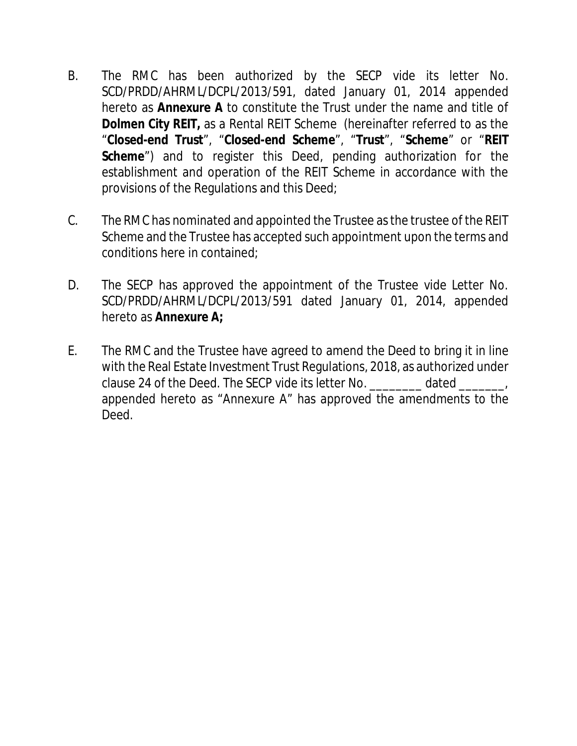- B. The RMC has been authorized by the SECP vide its letter No. SCD/PRDD/AHRML/DCPL/2013/591, dated January 01, 2014 appended hereto as **Annexure A** to constitute the Trust under the name and title of **Dolmen City REIT,** as a Rental REIT Scheme (hereinafter referred to as the "**Closed-end Trust**", "**Closed-end Scheme**", "**Trust**", "**Scheme**" or "**REIT Scheme**") and to register this Deed, pending authorization for the establishment and operation of the REIT Scheme in accordance with the provisions of the Regulations and this Deed;
- C. The RMC has nominated and appointed the Trustee as the trustee of the REIT Scheme and the Trustee has accepted such appointment upon the terms and conditions here in contained;
- D. The SECP has approved the appointment of the Trustee vide Letter No. SCD/PRDD/AHRML/DCPL/2013/591 dated January 01, 2014, appended hereto as **Annexure A;**
- E. The RMC and the Trustee have agreed to amend the Deed to bring it in line with the Real Estate Investment Trust Regulations, 2018, as authorized under clause 24 of the Deed. The SECP vide its letter No. \_\_\_\_\_\_\_\_ dated \_\_\_\_\_\_\_, appended hereto as "Annexure A" has approved the amendments to the Deed.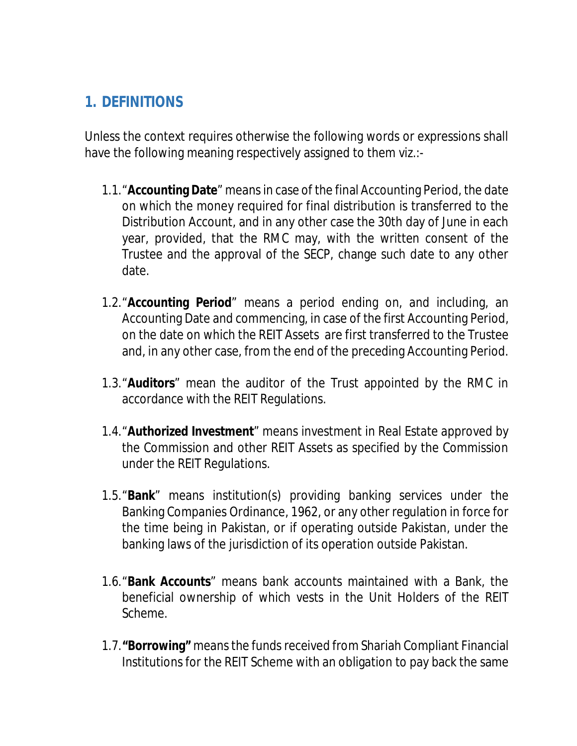# **1. DEFINITIONS**

Unless the context requires otherwise the following words or expressions shall have the following meaning respectively assigned to them viz.:-

- 1.1."**Accounting Date**" means in case of the final Accounting Period, the date on which the money required for final distribution is transferred to the Distribution Account, and in any other case the 30th day of June in each year, provided, that the RMC may, with the written consent of the Trustee and the approval of the SECP, change such date to any other date.
- 1.2."**Accounting Period**" means a period ending on, and including, an Accounting Date and commencing, in case of the first Accounting Period, on the date on which the REIT Assets are first transferred to the Trustee and, in any other case, from the end of the preceding Accounting Period.
- 1.3."**Auditors**" mean the auditor of the Trust appointed by the RMC in accordance with the REIT Regulations.
- 1.4."**Authorized Investment**" means investment in Real Estate approved by the Commission and other REIT Assets as specified by the Commission under the REIT Regulations.
- 1.5."**Bank**" means institution(s) providing banking services under the Banking Companies Ordinance, 1962, or any other regulation in force for the time being in Pakistan, or if operating outside Pakistan, under the banking laws of the jurisdiction of its operation outside Pakistan.
- 1.6."**Bank Accounts**" means bank accounts maintained with a Bank, the beneficial ownership of which vests in the Unit Holders of the REIT Scheme.
- 1.7.**"Borrowing"** means the funds received from Shariah Compliant Financial Institutions for the REIT Scheme with an obligation to pay back the same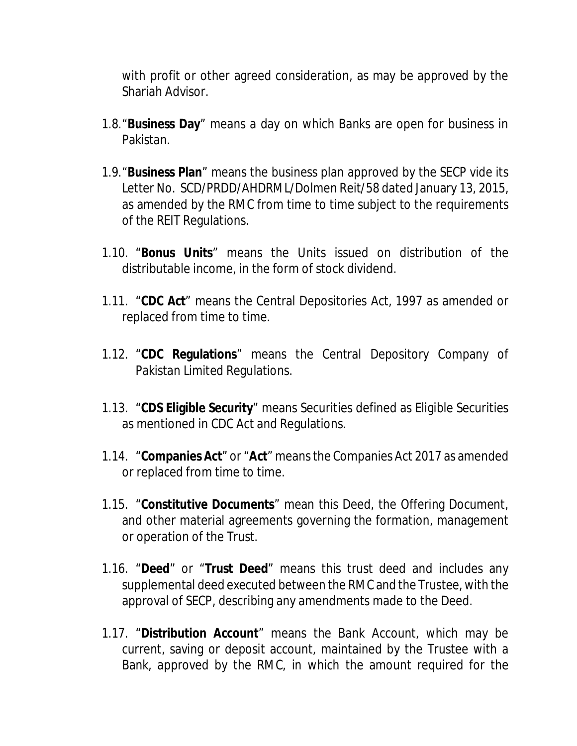with profit or other agreed consideration, as may be approved by the Shariah Advisor.

- 1.8."**Business Day**" means a day on which Banks are open for business in Pakistan.
- 1.9."**Business Plan**" means the business plan approved by the SECP vide its Letter No. SCD/PRDD/AHDRML/Dolmen Reit/58 dated January 13, 2015, as amended by the RMC from time to time subject to the requirements of the REIT Regulations.
- 1.10. "**Bonus Units**" means the Units issued on distribution of the distributable income, in the form of stock dividend.
- 1.11. "**CDC Act**" means the Central Depositories Act, 1997 as amended or replaced from time to time.
- 1.12. "**CDC Regulations**" means the Central Depository Company of Pakistan Limited Regulations.
- 1.13. "**CDS Eligible Security**" means Securities defined as Eligible Securities as mentioned in CDC Act and Regulations.
- 1.14. "**Companies Act**" or "**Act**" means the Companies Act 2017 as amended or replaced from time to time.
- 1.15. "**Constitutive Documents**" mean this Deed, the Offering Document, and other material agreements governing the formation, management or operation of the Trust.
- 1.16. "**Deed**" or "**Trust Deed**" means this trust deed and includes any supplemental deed executed between the RMC and the Trustee, with the approval of SECP, describing any amendments made to the Deed.
- 1.17. "**Distribution Account**" means the Bank Account, which may be current, saving or deposit account, maintained by the Trustee with a Bank, approved by the RMC, in which the amount required for the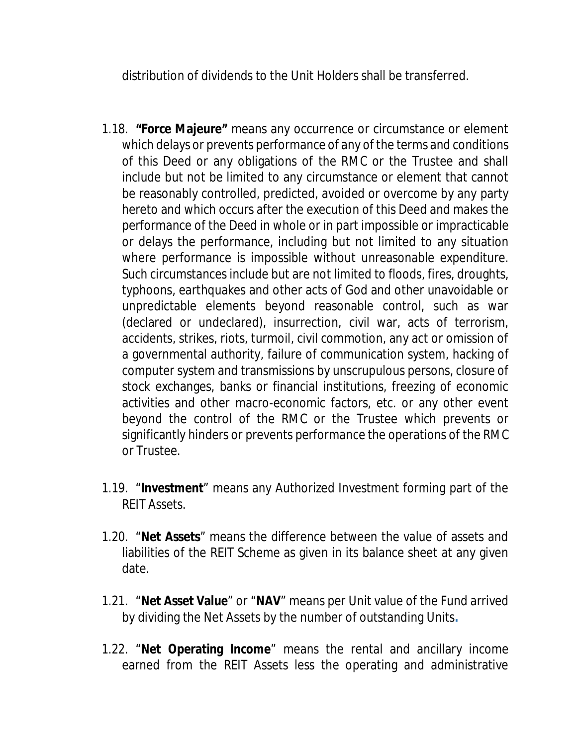distribution of dividends to the Unit Holders shall be transferred.

- 1.18. **"Force Majeure"** means any occurrence or circumstance or element which delays or prevents performance of any of the terms and conditions of this Deed or any obligations of the RMC or the Trustee and shall include but not be limited to any circumstance or element that cannot be reasonably controlled, predicted, avoided or overcome by any party hereto and which occurs after the execution of this Deed and makes the performance of the Deed in whole or in part impossible or impracticable or delays the performance, including but not limited to any situation where performance is impossible without unreasonable expenditure. Such circumstances include but are not limited to floods, fires, droughts, typhoons, earthquakes and other acts of God and other unavoidable or unpredictable elements beyond reasonable control, such as war (declared or undeclared), insurrection, civil war, acts of terrorism, accidents, strikes, riots, turmoil, civil commotion, any act or omission of a governmental authority, failure of communication system, hacking of computer system and transmissions by unscrupulous persons, closure of stock exchanges, banks or financial institutions, freezing of economic activities and other macro-economic factors, etc. or any other event beyond the control of the RMC or the Trustee which prevents or significantly hinders or prevents performance the operations of the RMC or Trustee.
- 1.19. "**Investment**" means any Authorized Investment forming part of the REIT Assets.
- 1.20. "**Net Assets**" means the difference between the value of assets and liabilities of the REIT Scheme as given in its balance sheet at any given date.
- 1.21. "**Net Asset Value**" or "**NAV**" means per Unit value of the Fund arrived by dividing the Net Assets by the number of outstanding Units**.**
- 1.22. "**Net Operating Income**" means the rental and ancillary income earned from the REIT Assets less the operating and administrative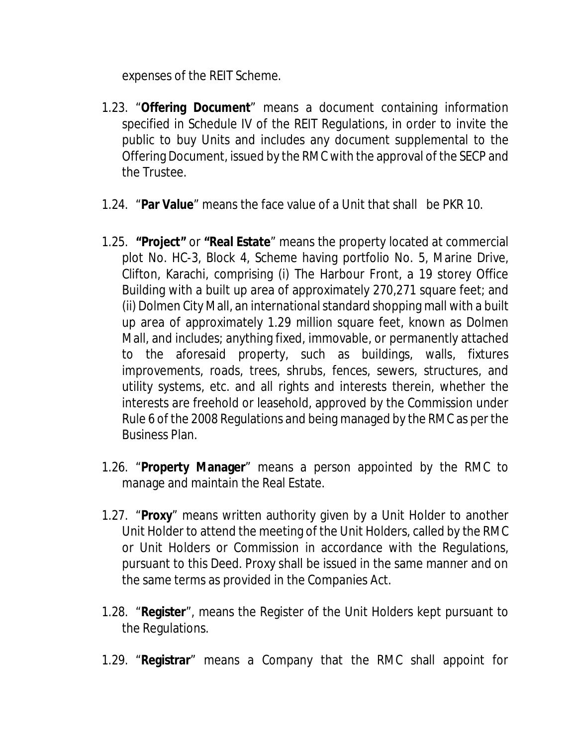expenses of the REIT Scheme.

- 1.23. "**Offering Document**" means a document containing information specified in Schedule IV of the REIT Regulations, in order to invite the public to buy Units and includes any document supplemental to the Offering Document, issued by the RMC with the approval of the SECP and the Trustee.
- 1.24. "**Par Value**" means the face value of a Unit that shall be PKR 10.
- 1.25. **"Project"** or **"Real Estate**" means the property located at commercial plot No. HC-3, Block 4, Scheme having portfolio No. 5, Marine Drive, Clifton, Karachi, comprising (i) The Harbour Front, a 19 storey Office Building with a built up area of approximately 270,271 square feet; and (ii) Dolmen City Mall, an international standard shopping mall with a built up area of approximately 1.29 million square feet, known as Dolmen Mall, and includes; anything fixed, immovable, or permanently attached to the aforesaid property, such as buildings, walls, fixtures improvements, roads, trees, shrubs, fences, sewers, structures, and utility systems, etc. and all rights and interests therein, whether the interests are freehold or leasehold, approved by the Commission under Rule 6 of the 2008 Regulations and being managed by the RMC as per the Business Plan.
- 1.26. "**Property Manager**" means a person appointed by the RMC to manage and maintain the Real Estate.
- 1.27. "**Proxy**" means written authority given by a Unit Holder to another Unit Holder to attend the meeting of the Unit Holders, called by the RMC or Unit Holders or Commission in accordance with the Regulations, pursuant to this Deed. Proxy shall be issued in the same manner and on the same terms as provided in the Companies Act.
- 1.28. "**Register**", means the Register of the Unit Holders kept pursuant to the Regulations.
- 1.29. "**Registrar**" means a Company that the RMC shall appoint for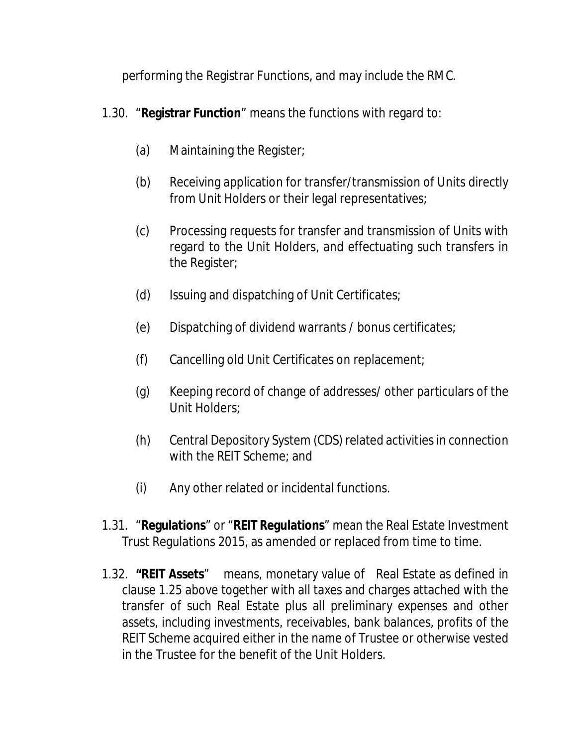performing the Registrar Functions, and may include the RMC.

- 1.30. "**Registrar Function**" means the functions with regard to:
	- (a) Maintaining the Register;
	- (b) Receiving application for transfer/transmission of Units directly from Unit Holders or their legal representatives;
	- (c) Processing requests for transfer and transmission of Units with regard to the Unit Holders, and effectuating such transfers in the Register;
	- (d) Issuing and dispatching of Unit Certificates;
	- (e) Dispatching of dividend warrants / bonus certificates;
	- (f) Cancelling old Unit Certificates on replacement;
	- (g) Keeping record of change of addresses/ other particulars of the Unit Holders;
	- (h) Central Depository System (CDS) related activities in connection with the REIT Scheme; and
	- (i) Any other related or incidental functions.
- 1.31. "**Regulations**" or "**REIT Regulations**" mean the Real Estate Investment Trust Regulations 2015, as amended or replaced from time to time.
- 1.32. **"REIT Assets**" means, monetary value of Real Estate as defined in clause 1.25 above together with all taxes and charges attached with the transfer of such Real Estate plus all preliminary expenses and other assets, including investments, receivables, bank balances, profits of the REIT Scheme acquired either in the name of Trustee or otherwise vested in the Trustee for the benefit of the Unit Holders.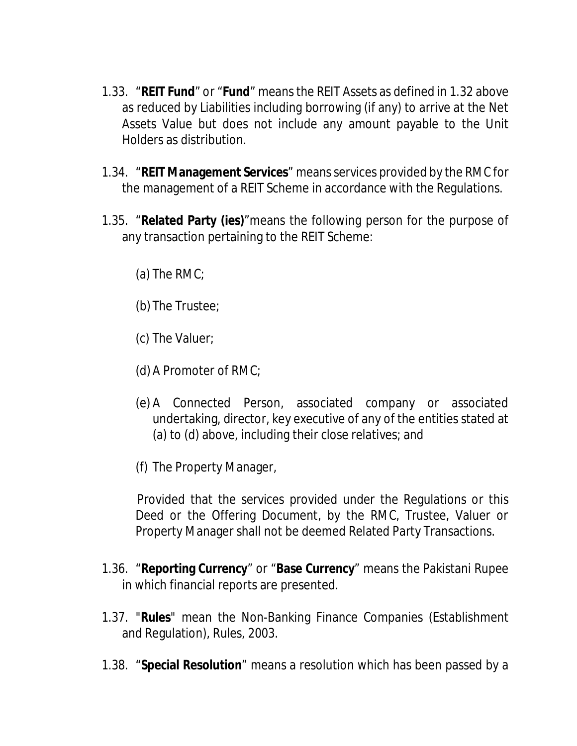- 1.33. "**REIT Fund**" or "**Fund**" means the REIT Assets as defined in 1.32 above as reduced by Liabilities including borrowing (if any) to arrive at the Net Assets Value but does not include any amount payable to the Unit Holders as distribution.
- 1.34. "**REIT Management Services**" means services provided by the RMC for the management of a REIT Scheme in accordance with the Regulations.
- 1.35. "**Related Party (ies)**"means the following person for the purpose of any transaction pertaining to the REIT Scheme:
	- (a) The RMC;
	- (b) The Trustee;
	- (c) The Valuer;
	- (d) A Promoter of RMC;
	- (e) A Connected Person, associated company or associated undertaking, director, key executive of any of the entities stated at (a) to (d) above, including their close relatives; and
	- (f) The Property Manager,

Provided that the services provided under the Regulations or this Deed or the Offering Document, by the RMC, Trustee, Valuer or Property Manager shall not be deemed Related Party Transactions.

- 1.36. "**Reporting Currency**" or "**Base Currency**" means the Pakistani Rupee in which financial reports are presented.
- 1.37. "**Rules**" mean the Non-Banking Finance Companies (Establishment and Regulation), Rules, 2003.
- 1.38. "**Special Resolution**" means a resolution which has been passed by a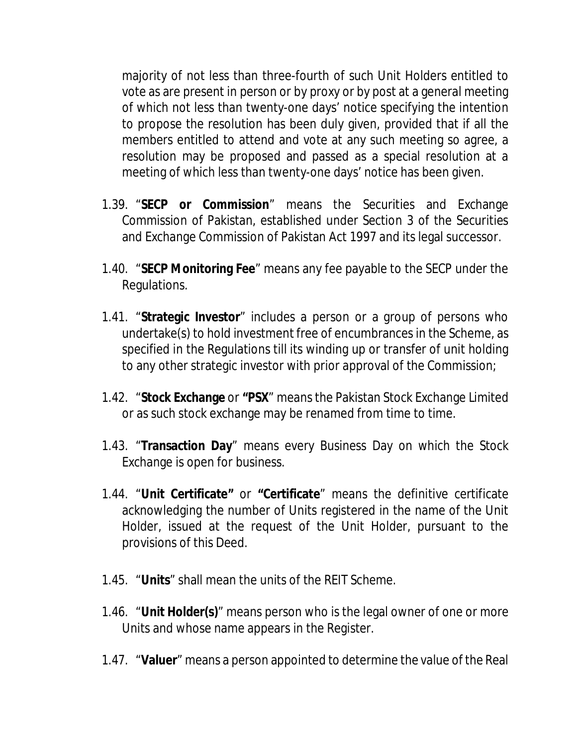majority of not less than three-fourth of such Unit Holders entitled to vote as are present in person or by proxy or by post at a general meeting of which not less than twenty-one days' notice specifying the intention to propose the resolution has been duly given, provided that if all the members entitled to attend and vote at any such meeting so agree, a resolution may be proposed and passed as a special resolution at a meeting of which less than twenty-one days' notice has been given.

- 1.39. "**SECP or Commission**" means the Securities and Exchange Commission of Pakistan, established under Section 3 of the Securities and Exchange Commission of Pakistan Act 1997 and its legal successor.
- 1.40. "**SECP Monitoring Fee**" means any fee payable to the SECP under the Regulations.
- 1.41. "**Strategic Investor**" includes a person or a group of persons who undertake(s) to hold investment free of encumbrances in the Scheme, as specified in the Regulations till its winding up or transfer of unit holding to any other strategic investor with prior approval of the Commission;
- 1.42. "**Stock Exchange** or **"PSX**" means the Pakistan Stock Exchange Limited or as such stock exchange may be renamed from time to time.
- 1.43. "**Transaction Day**" means every Business Day on which the Stock Exchange is open for business.
- 1.44. "**Unit Certificate"** or **"Certificate**" means the definitive certificate acknowledging the number of Units registered in the name of the Unit Holder, issued at the request of the Unit Holder, pursuant to the provisions of this Deed.
- 1.45. "**Units**" shall mean the units of the REIT Scheme.
- 1.46. "**Unit Holder(s)**" means person who is the legal owner of one or more Units and whose name appears in the Register.
- 1.47. "**Valuer**" means a person appointed to determine the value of the Real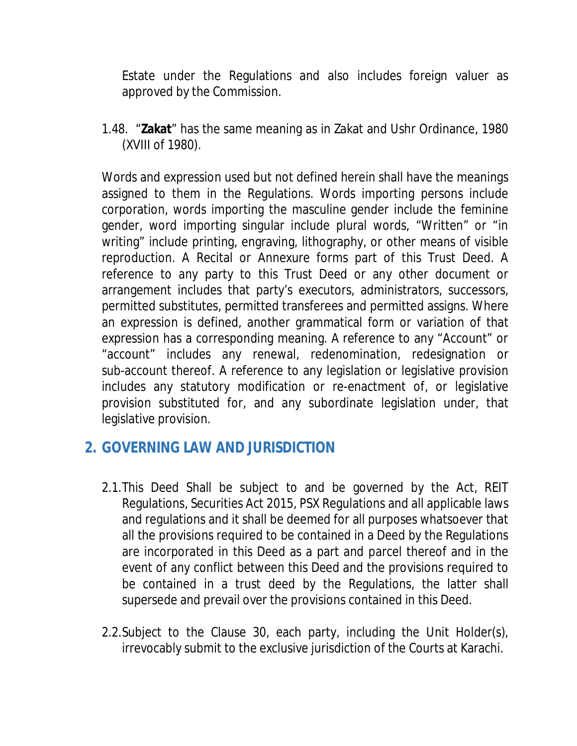Estate under the Regulations and also includes foreign valuer as approved by the Commission.

1.48. "**Zakat**" has the same meaning as in Zakat and Ushr Ordinance, 1980 (XVIII of 1980).

Words and expression used but not defined herein shall have the meanings assigned to them in the Regulations. Words importing persons include corporation, words importing the masculine gender include the feminine gender, word importing singular include plural words, "Written" or "in writing" include printing, engraving, lithography, or other means of visible reproduction. A Recital or Annexure forms part of this Trust Deed. A reference to any party to this Trust Deed or any other document or arrangement includes that party's executors, administrators, successors, permitted substitutes, permitted transferees and permitted assigns. Where an expression is defined, another grammatical form or variation of that expression has a corresponding meaning. A reference to any "Account" or "account" includes any renewal, redenomination, redesignation or sub-account thereof. A reference to any legislation or legislative provision includes any statutory modification or re-enactment of, or legislative provision substituted for, and any subordinate legislation under, that legislative provision.

#### **2. GOVERNING LAW AND JURISDICTION**

- 2.1.This Deed Shall be subject to and be governed by the Act, REIT Regulations, Securities Act 2015, PSX Regulations and all applicable laws and regulations and it shall be deemed for all purposes whatsoever that all the provisions required to be contained in a Deed by the Regulations are incorporated in this Deed as a part and parcel thereof and in the event of any conflict between this Deed and the provisions required to be contained in a trust deed by the Regulations, the latter shall supersede and prevail over the provisions contained in this Deed.
- 2.2.Subject to the Clause 30, each party, including the Unit Holder(s), irrevocably submit to the exclusive jurisdiction of the Courts at Karachi.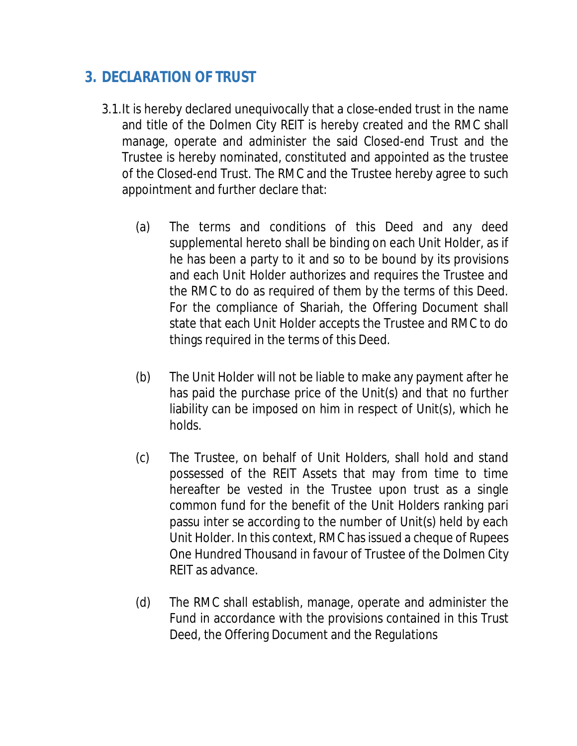# **3. DECLARATION OF TRUST**

- 3.1.It is hereby declared unequivocally that a close-ended trust in the name and title of the Dolmen City REIT is hereby created and the RMC shall manage, operate and administer the said Closed-end Trust and the Trustee is hereby nominated, constituted and appointed as the trustee of the Closed-end Trust. The RMC and the Trustee hereby agree to such appointment and further declare that:
	- (a) The terms and conditions of this Deed and any deed supplemental hereto shall be binding on each Unit Holder, as if he has been a party to it and so to be bound by its provisions and each Unit Holder authorizes and requires the Trustee and the RMC to do as required of them by the terms of this Deed. For the compliance of Shariah, the Offering Document shall state that each Unit Holder accepts the Trustee and RMC to do things required in the terms of this Deed.
	- (b) The Unit Holder will not be liable to make any payment after he has paid the purchase price of the Unit(s) and that no further liability can be imposed on him in respect of Unit(s), which he holds.
	- (c) The Trustee, on behalf of Unit Holders, shall hold and stand possessed of the REIT Assets that may from time to time hereafter be vested in the Trustee upon trust as a single common fund for the benefit of the Unit Holders ranking pari passu inter se according to the number of Unit(s) held by each Unit Holder. In this context, RMC has issued a cheque of Rupees One Hundred Thousand in favour of Trustee of the Dolmen City REIT as advance.
	- (d) The RMC shall establish, manage, operate and administer the Fund in accordance with the provisions contained in this Trust Deed, the Offering Document and the Regulations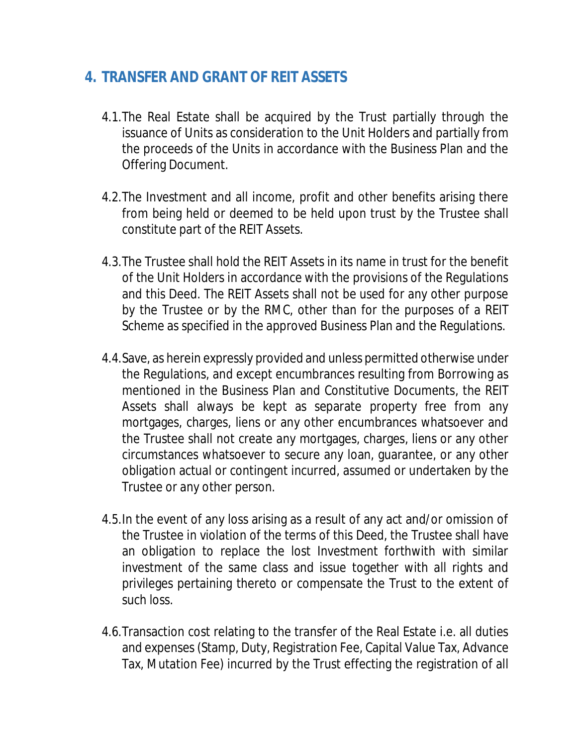# **4. TRANSFER AND GRANT OF REIT ASSETS**

- 4.1.The Real Estate shall be acquired by the Trust partially through the issuance of Units as consideration to the Unit Holders and partially from the proceeds of the Units in accordance with the Business Plan and the Offering Document.
- 4.2.The Investment and all income, profit and other benefits arising there from being held or deemed to be held upon trust by the Trustee shall constitute part of the REIT Assets.
- 4.3.The Trustee shall hold the REIT Assets in its name in trust for the benefit of the Unit Holders in accordance with the provisions of the Regulations and this Deed. The REIT Assets shall not be used for any other purpose by the Trustee or by the RMC, other than for the purposes of a REIT Scheme as specified in the approved Business Plan and the Regulations.
- 4.4.Save, as herein expressly provided and unless permitted otherwise under the Regulations, and except encumbrances resulting from Borrowing as mentioned in the Business Plan and Constitutive Documents, the REIT Assets shall always be kept as separate property free from any mortgages, charges, liens or any other encumbrances whatsoever and the Trustee shall not create any mortgages, charges, liens or any other circumstances whatsoever to secure any loan, guarantee, or any other obligation actual or contingent incurred, assumed or undertaken by the Trustee or any other person.
- 4.5.In the event of any loss arising as a result of any act and/or omission of the Trustee in violation of the terms of this Deed, the Trustee shall have an obligation to replace the lost Investment forthwith with similar investment of the same class and issue together with all rights and privileges pertaining thereto or compensate the Trust to the extent of such loss.
- 4.6.Transaction cost relating to the transfer of the Real Estate i.e. all duties and expenses (Stamp, Duty, Registration Fee, Capital Value Tax, Advance Tax, Mutation Fee) incurred by the Trust effecting the registration of all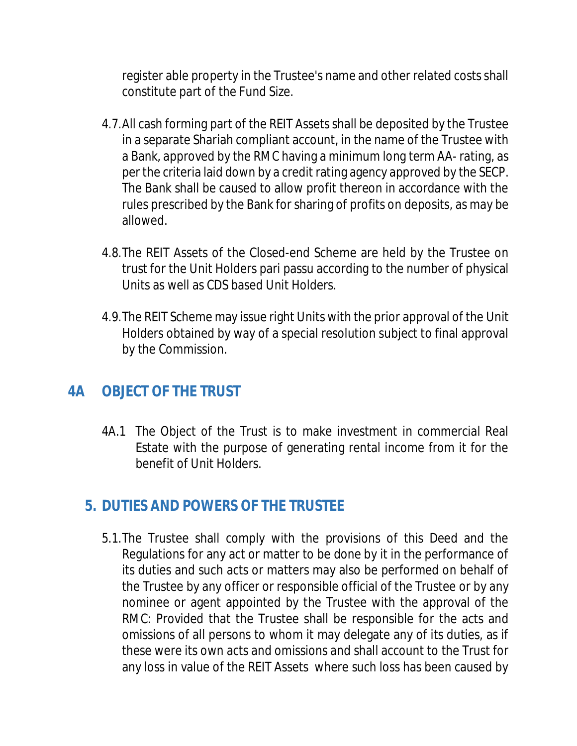register able property in the Trustee's name and other related costs shall constitute part of the Fund Size.

- 4.7.All cash forming part of the REIT Assets shall be deposited by the Trustee in a separate Shariah compliant account, in the name of the Trustee with a Bank, approved by the RMC having a minimum long term AA- rating, as per the criteria laid down by a credit rating agency approved by the SECP. The Bank shall be caused to allow profit thereon in accordance with the rules prescribed by the Bank for sharing of profits on deposits, as may be allowed.
- 4.8.The REIT Assets of the Closed-end Scheme are held by the Trustee on trust for the Unit Holders pari passu according to the number of physical Units as well as CDS based Unit Holders.
- 4.9.The REIT Scheme may issue right Units with the prior approval of the Unit Holders obtained by way of a special resolution subject to final approval by the Commission.

# **4A OBJECT OF THE TRUST**

4A.1 The Object of the Trust is to make investment in commercial Real Estate with the purpose of generating rental income from it for the benefit of Unit Holders.

# **5. DUTIES AND POWERS OF THE TRUSTEE**

5.1.The Trustee shall comply with the provisions of this Deed and the Regulations for any act or matter to be done by it in the performance of its duties and such acts or matters may also be performed on behalf of the Trustee by any officer or responsible official of the Trustee or by any nominee or agent appointed by the Trustee with the approval of the RMC: Provided that the Trustee shall be responsible for the acts and omissions of all persons to whom it may delegate any of its duties, as if these were its own acts and omissions and shall account to the Trust for any loss in value of the REIT Assets where such loss has been caused by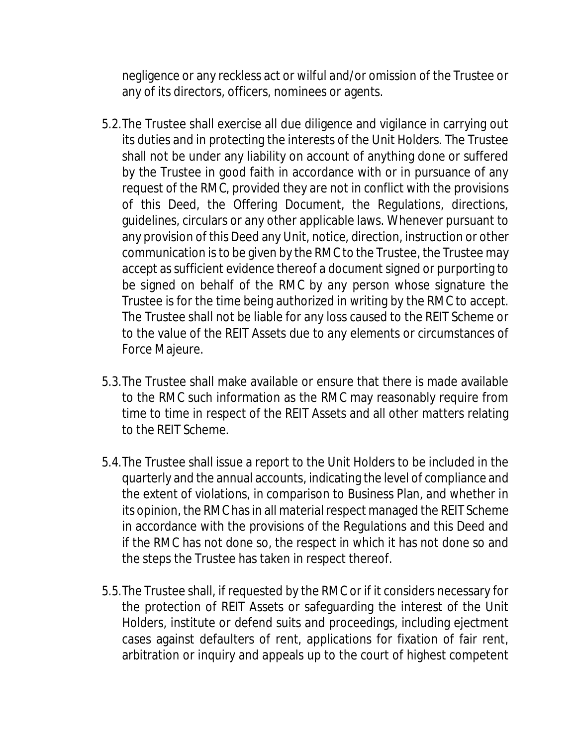negligence or any reckless act or wilful and/or omission of the Trustee or any of its directors, officers, nominees or agents.

- 5.2.The Trustee shall exercise all due diligence and vigilance in carrying out its duties and in protecting the interests of the Unit Holders. The Trustee shall not be under any liability on account of anything done or suffered by the Trustee in good faith in accordance with or in pursuance of any request of the RMC, provided they are not in conflict with the provisions of this Deed, the Offering Document, the Regulations, directions, guidelines, circulars or any other applicable laws. Whenever pursuant to any provision of this Deed any Unit, notice, direction, instruction or other communication is to be given by the RMC to the Trustee, the Trustee may accept as sufficient evidence thereof a document signed or purporting to be signed on behalf of the RMC by any person whose signature the Trustee is for the time being authorized in writing by the RMC to accept. The Trustee shall not be liable for any loss caused to the REIT Scheme or to the value of the REIT Assets due to any elements or circumstances of Force Majeure.
- 5.3.The Trustee shall make available or ensure that there is made available to the RMC such information as the RMC may reasonably require from time to time in respect of the REIT Assets and all other matters relating to the REIT Scheme.
- 5.4.The Trustee shall issue a report to the Unit Holders to be included in the quarterly and the annual accounts, indicating the level of compliance and the extent of violations, in comparison to Business Plan, and whether in its opinion, the RMC has in all material respect managed the REIT Scheme in accordance with the provisions of the Regulations and this Deed and if the RMC has not done so, the respect in which it has not done so and the steps the Trustee has taken in respect thereof.
- 5.5.The Trustee shall, if requested by the RMC or if it considers necessary for the protection of REIT Assets or safeguarding the interest of the Unit Holders, institute or defend suits and proceedings, including ejectment cases against defaulters of rent, applications for fixation of fair rent, arbitration or inquiry and appeals up to the court of highest competent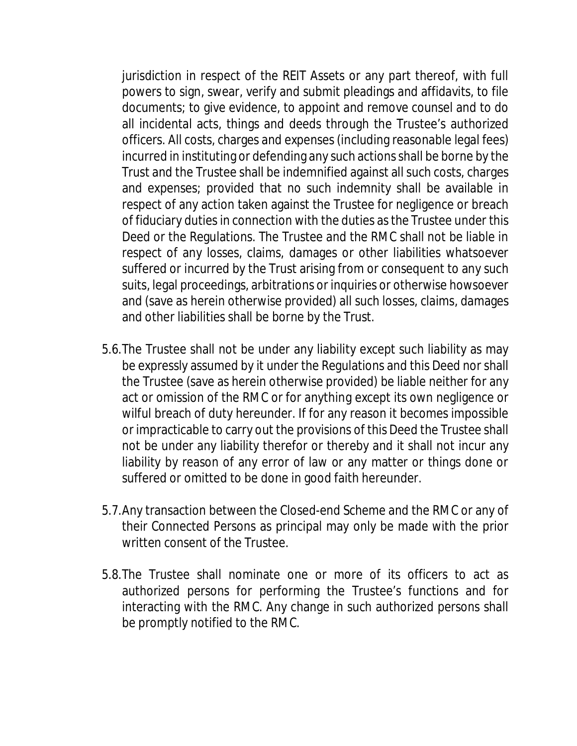jurisdiction in respect of the REIT Assets or any part thereof, with full powers to sign, swear, verify and submit pleadings and affidavits, to file documents; to give evidence, to appoint and remove counsel and to do all incidental acts, things and deeds through the Trustee's authorized officers. All costs, charges and expenses (including reasonable legal fees) incurred in instituting or defending any such actions shall be borne by the Trust and the Trustee shall be indemnified against all such costs, charges and expenses; provided that no such indemnity shall be available in respect of any action taken against the Trustee for negligence or breach of fiduciary duties in connection with the duties as the Trustee under this Deed or the Regulations. The Trustee and the RMC shall not be liable in respect of any losses, claims, damages or other liabilities whatsoever suffered or incurred by the Trust arising from or consequent to any such suits, legal proceedings, arbitrations or inquiries or otherwise howsoever and (save as herein otherwise provided) all such losses, claims, damages and other liabilities shall be borne by the Trust.

- 5.6.The Trustee shall not be under any liability except such liability as may be expressly assumed by it under the Regulations and this Deed nor shall the Trustee (save as herein otherwise provided) be liable neither for any act or omission of the RMC or for anything except its own negligence or wilful breach of duty hereunder. If for any reason it becomes impossible or impracticable to carry out the provisions of this Deed the Trustee shall not be under any liability therefor or thereby and it shall not incur any liability by reason of any error of law or any matter or things done or suffered or omitted to be done in good faith hereunder.
- 5.7.Any transaction between the Closed-end Scheme and the RMC or any of their Connected Persons as principal may only be made with the prior written consent of the Trustee.
- 5.8.The Trustee shall nominate one or more of its officers to act as authorized persons for performing the Trustee's functions and for interacting with the RMC. Any change in such authorized persons shall be promptly notified to the RMC.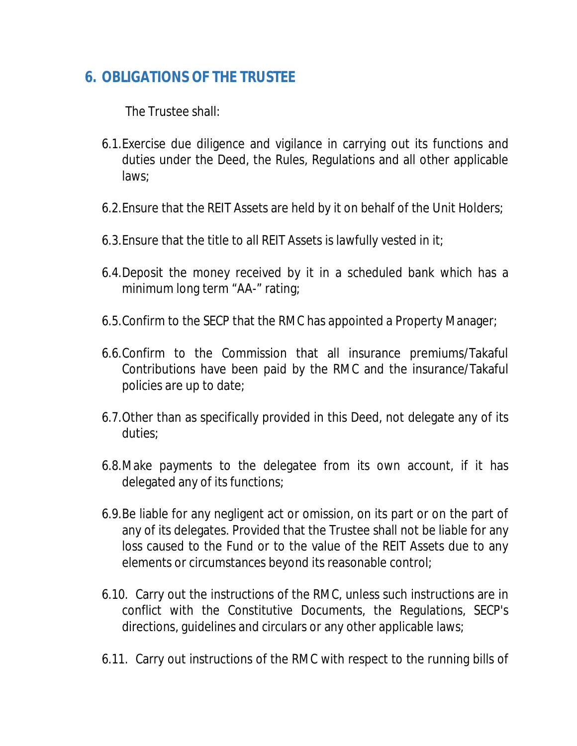# **6. OBLIGATIONS OF THE TRUSTEE**

The Trustee shall:

- 6.1.Exercise due diligence and vigilance in carrying out its functions and duties under the Deed, the Rules, Regulations and all other applicable laws;
- 6.2.Ensure that the REIT Assets are held by it on behalf of the Unit Holders;
- 6.3.Ensure that the title to all REIT Assets is lawfully vested in it;
- 6.4.Deposit the money received by it in a scheduled bank which has a minimum long term "AA-" rating;
- 6.5.Confirm to the SECP that the RMC has appointed a Property Manager;
- 6.6.Confirm to the Commission that all insurance premiums/Takaful Contributions have been paid by the RMC and the insurance/Takaful policies are up to date;
- 6.7.Other than as specifically provided in this Deed, not delegate any of its duties;
- 6.8.Make payments to the delegatee from its own account, if it has delegated any of its functions;
- 6.9.Be liable for any negligent act or omission, on its part or on the part of any of its delegates. Provided that the Trustee shall not be liable for any loss caused to the Fund or to the value of the REIT Assets due to any elements or circumstances beyond its reasonable control;
- 6.10. Carry out the instructions of the RMC, unless such instructions are in conflict with the Constitutive Documents, the Regulations, SECP's directions, guidelines and circulars or any other applicable laws;
- 6.11. Carry out instructions of the RMC with respect to the running bills of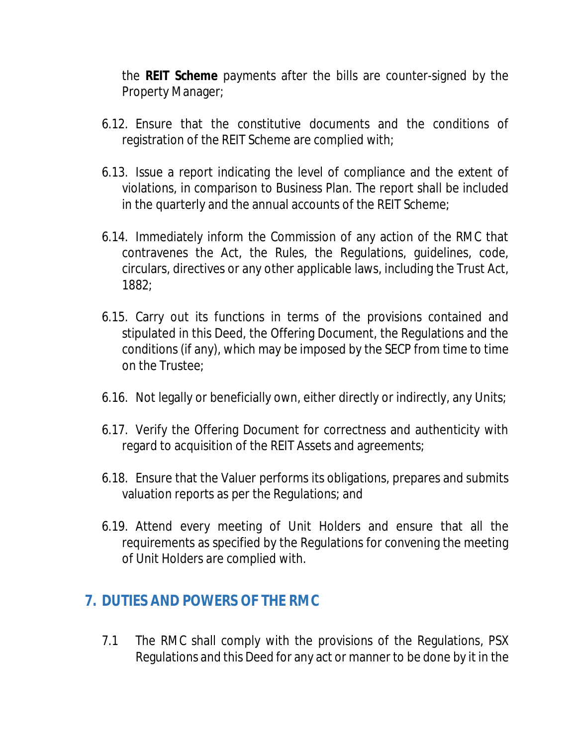the **REIT Scheme** payments after the bills are counter-signed by the Property Manager;

- 6.12. Ensure that the constitutive documents and the conditions of registration of the REIT Scheme are complied with;
- 6.13. Issue a report indicating the level of compliance and the extent of violations, in comparison to Business Plan. The report shall be included in the quarterly and the annual accounts of the REIT Scheme;
- 6.14. Immediately inform the Commission of any action of the RMC that contravenes the Act, the Rules, the Regulations, guidelines, code, circulars, directives or any other applicable laws, including the Trust Act, 1882;
- 6.15. Carry out its functions in terms of the provisions contained and stipulated in this Deed, the Offering Document, the Regulations and the conditions (if any), which may be imposed by the SECP from time to time on the Trustee;
- 6.16. Not legally or beneficially own, either directly or indirectly, any Units;
- 6.17. Verify the Offering Document for correctness and authenticity with regard to acquisition of the REIT Assets and agreements;
- 6.18. Ensure that the Valuer performs its obligations, prepares and submits valuation reports as per the Regulations; and
- 6.19. Attend every meeting of Unit Holders and ensure that all the requirements as specified by the Regulations for convening the meeting of Unit Holders are complied with.

#### **7. DUTIES AND POWERS OF THE RMC**

7.1 The RMC shall comply with the provisions of the Regulations, PSX Regulations and this Deed for any act or manner to be done by it in the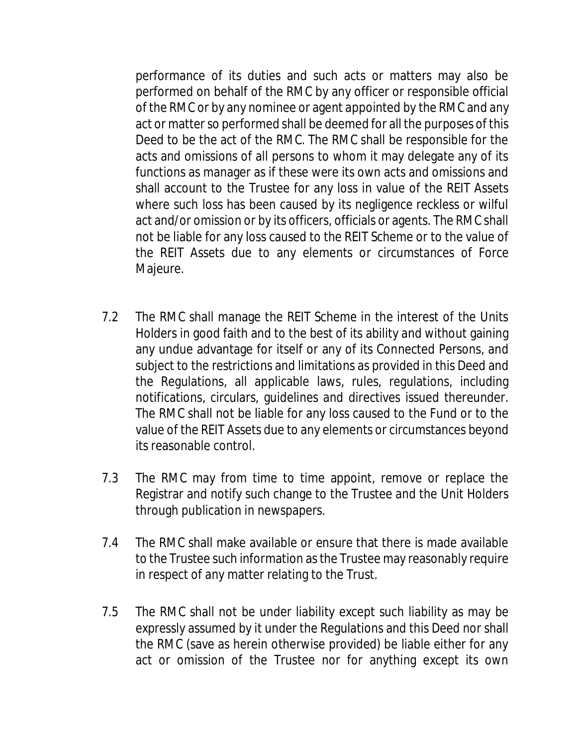performance of its duties and such acts or matters may also be performed on behalf of the RMC by any officer or responsible official of the RMC or by any nominee or agent appointed by the RMC and any act or matter so performed shall be deemed for all the purposes of this Deed to be the act of the RMC. The RMC shall be responsible for the acts and omissions of all persons to whom it may delegate any of its functions as manager as if these were its own acts and omissions and shall account to the Trustee for any loss in value of the REIT Assets where such loss has been caused by its negligence reckless or wilful act and/or omission or by its officers, officials or agents. The RMC shall not be liable for any loss caused to the REIT Scheme or to the value of the REIT Assets due to any elements or circumstances of Force Majeure.

- 7.2 The RMC shall manage the REIT Scheme in the interest of the Units Holders in good faith and to the best of its ability and without gaining any undue advantage for itself or any of its Connected Persons, and subject to the restrictions and limitations as provided in this Deed and the Regulations, all applicable laws, rules, regulations, including notifications, circulars, guidelines and directives issued thereunder. The RMC shall not be liable for any loss caused to the Fund or to the value of the REIT Assets due to any elements or circumstances beyond its reasonable control.
- 7.3 The RMC may from time to time appoint, remove or replace the Registrar and notify such change to the Trustee and the Unit Holders through publication in newspapers.
- 7.4 The RMC shall make available or ensure that there is made available to the Trustee such information as the Trustee may reasonably require in respect of any matter relating to the Trust.
- 7.5 The RMC shall not be under liability except such liability as may be expressly assumed by it under the Regulations and this Deed nor shall the RMC (save as herein otherwise provided) be liable either for any act or omission of the Trustee nor for anything except its own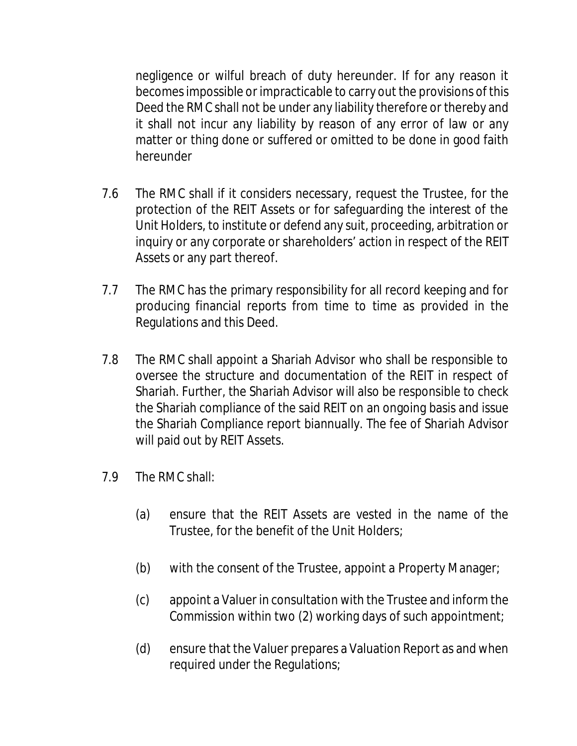negligence or wilful breach of duty hereunder. If for any reason it becomes impossible or impracticable to carry out the provisions of this Deed the RMC shall not be under any liability therefore or thereby and it shall not incur any liability by reason of any error of law or any matter or thing done or suffered or omitted to be done in good faith hereunder

- 7.6 The RMC shall if it considers necessary, request the Trustee, for the protection of the REIT Assets or for safeguarding the interest of the Unit Holders, to institute or defend any suit, proceeding, arbitration or inquiry or any corporate or shareholders' action in respect of the REIT Assets or any part thereof.
- 7.7 The RMC has the primary responsibility for all record keeping and for producing financial reports from time to time as provided in the Regulations and this Deed.
- 7.8 The RMC shall appoint a Shariah Advisor who shall be responsible to oversee the structure and documentation of the REIT in respect of Shariah. Further, the Shariah Advisor will also be responsible to check the Shariah compliance of the said REIT on an ongoing basis and issue the Shariah Compliance report biannually. The fee of Shariah Advisor will paid out by REIT Assets.
- 7.9 The RMC shall:
	- (a) ensure that the REIT Assets are vested in the name of the Trustee, for the benefit of the Unit Holders;
	- (b) with the consent of the Trustee, appoint a Property Manager;
	- (c) appoint a Valuer in consultation with the Trustee and inform the Commission within two (2) working days of such appointment;
	- (d) ensure that the Valuer prepares a Valuation Report as and when required under the Regulations;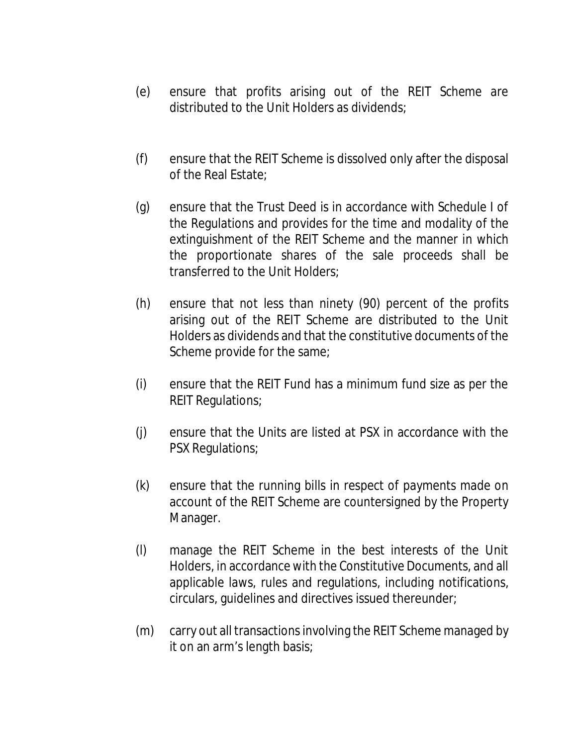- (e) ensure that profits arising out of the REIT Scheme are distributed to the Unit Holders as dividends;
- (f) ensure that the REIT Scheme is dissolved only after the disposal of the Real Estate;
- (g) ensure that the Trust Deed is in accordance with Schedule I of the Regulations and provides for the time and modality of the extinguishment of the REIT Scheme and the manner in which the proportionate shares of the sale proceeds shall be transferred to the Unit Holders;
- (h) ensure that not less than ninety (90) percent of the profits arising out of the REIT Scheme are distributed to the Unit Holders as dividends and that the constitutive documents of the Scheme provide for the same;
- (i) ensure that the REIT Fund has a minimum fund size as per the REIT Regulations;
- (j) ensure that the Units are listed at PSX in accordance with the PSX Regulations;
- (k) ensure that the running bills in respect of payments made on account of the REIT Scheme are countersigned by the Property Manager.
- (l) manage the REIT Scheme in the best interests of the Unit Holders, in accordance with the Constitutive Documents, and all applicable laws, rules and regulations, including notifications, circulars, guidelines and directives issued thereunder;
- (m) carry out all transactions involving the REIT Scheme managed by it on an arm's length basis;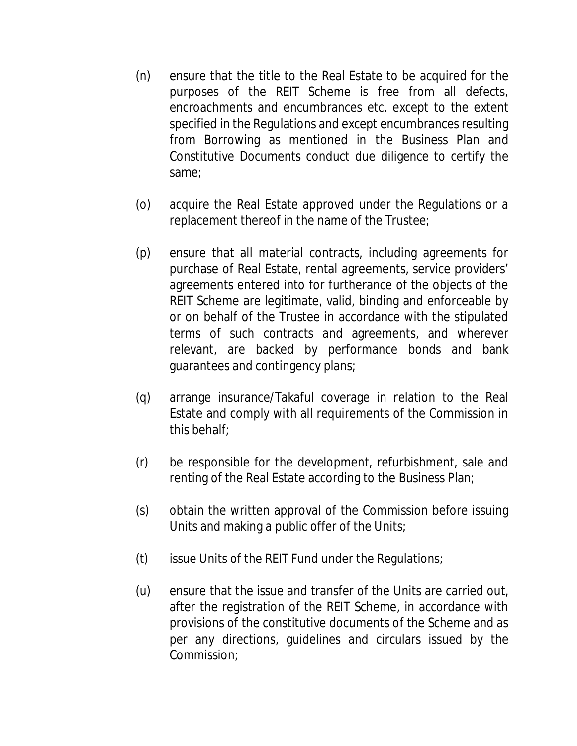- (n) ensure that the title to the Real Estate to be acquired for the purposes of the REIT Scheme is free from all defects, encroachments and encumbrances etc. except to the extent specified in the Regulations and except encumbrances resulting from Borrowing as mentioned in the Business Plan and Constitutive Documents conduct due diligence to certify the same;
- (o) acquire the Real Estate approved under the Regulations or a replacement thereof in the name of the Trustee;
- (p) ensure that all material contracts, including agreements for purchase of Real Estate, rental agreements, service providers' agreements entered into for furtherance of the objects of the REIT Scheme are legitimate, valid, binding and enforceable by or on behalf of the Trustee in accordance with the stipulated terms of such contracts and agreements, and wherever relevant, are backed by performance bonds and bank guarantees and contingency plans;
- (q) arrange insurance/Takaful coverage in relation to the Real Estate and comply with all requirements of the Commission in this behalf;
- (r) be responsible for the development, refurbishment, sale and renting of the Real Estate according to the Business Plan;
- (s) obtain the written approval of the Commission before issuing Units and making a public offer of the Units;
- (t) issue Units of the REIT Fund under the Regulations;
- (u) ensure that the issue and transfer of the Units are carried out, after the registration of the REIT Scheme, in accordance with provisions of the constitutive documents of the Scheme and as per any directions, guidelines and circulars issued by the Commission;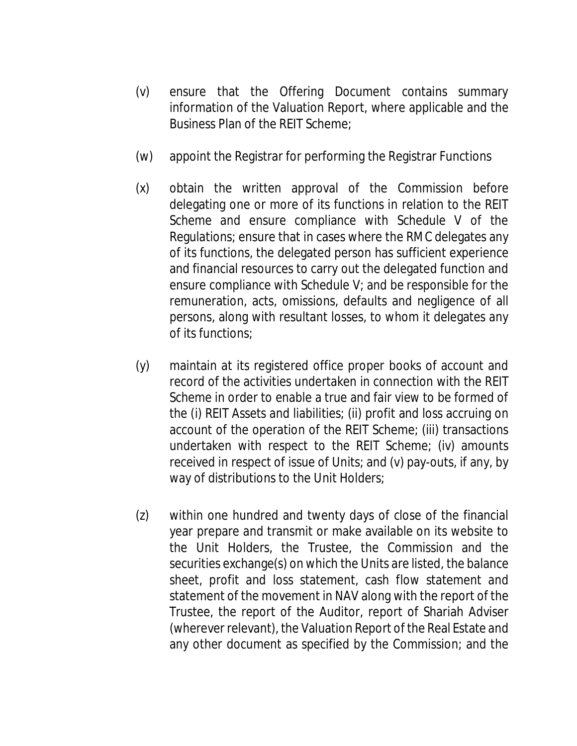- (v) ensure that the Offering Document contains summary information of the Valuation Report, where applicable and the Business Plan of the REIT Scheme;
- (w) appoint the Registrar for performing the Registrar Functions
- (x) obtain the written approval of the Commission before delegating one or more of its functions in relation to the REIT Scheme and ensure compliance with Schedule V of the Regulations; ensure that in cases where the RMC delegates any of its functions, the delegated person has sufficient experience and financial resources to carry out the delegated function and ensure compliance with Schedule V; and be responsible for the remuneration, acts, omissions, defaults and negligence of all persons, along with resultant losses, to whom it delegates any of its functions;
- (y) maintain at its registered office proper books of account and record of the activities undertaken in connection with the REIT Scheme in order to enable a true and fair view to be formed of the (i) REIT Assets and liabilities; (ii) profit and loss accruing on account of the operation of the REIT Scheme; (iii) transactions undertaken with respect to the REIT Scheme; (iv) amounts received in respect of issue of Units; and (v) pay-outs, if any, by way of distributions to the Unit Holders;
- (z) within one hundred and twenty days of close of the financial year prepare and transmit or make available on its website to the Unit Holders, the Trustee, the Commission and the securities exchange(s) on which the Units are listed, the balance sheet, profit and loss statement, cash flow statement and statement of the movement in NAV along with the report of the Trustee, the report of the Auditor, report of Shariah Adviser (wherever relevant), the Valuation Report of the Real Estate and any other document as specified by the Commission; and the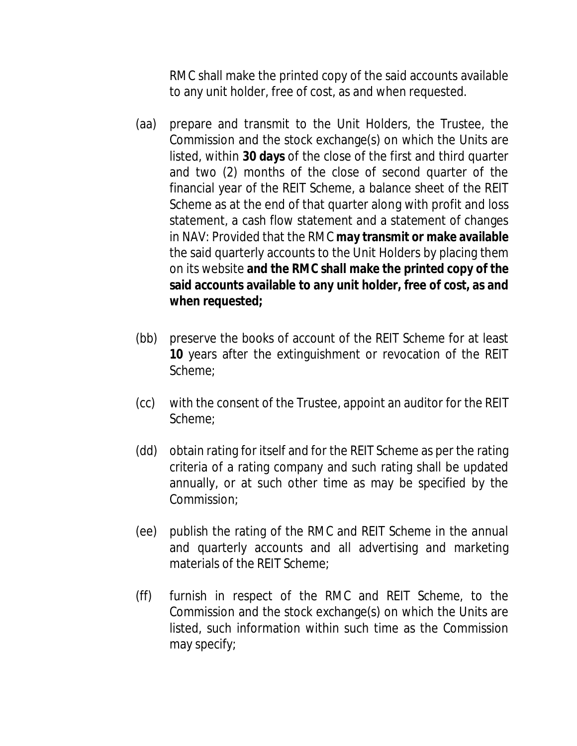RMC shall make the printed copy of the said accounts available to any unit holder, free of cost, as and when requested.

- (aa) prepare and transmit to the Unit Holders, the Trustee, the Commission and the stock exchange(s) on which the Units are listed, within **30 days** of the close of the first and third quarter and two (2) months of the close of second quarter of the financial year of the REIT Scheme, a balance sheet of the REIT Scheme as at the end of that quarter along with profit and loss statement, a cash flow statement and a statement of changes in NAV: Provided that the RMC **may transmit or make available** the said quarterly accounts to the Unit Holders by placing them on its website **and the RMC shall make the printed copy of the said accounts available to any unit holder, free of cost, as and when requested;**
- (bb) preserve the books of account of the REIT Scheme for at least **10** years after the extinguishment or revocation of the REIT Scheme;
- (cc) with the consent of the Trustee, appoint an auditor for the REIT Scheme;
- (dd) obtain rating for itself and for the REIT Scheme as per the rating criteria of a rating company and such rating shall be updated annually, or at such other time as may be specified by the Commission;
- (ee) publish the rating of the RMC and REIT Scheme in the annual and quarterly accounts and all advertising and marketing materials of the REIT Scheme;
- (ff) furnish in respect of the RMC and REIT Scheme, to the Commission and the stock exchange(s) on which the Units are listed, such information within such time as the Commission may specify;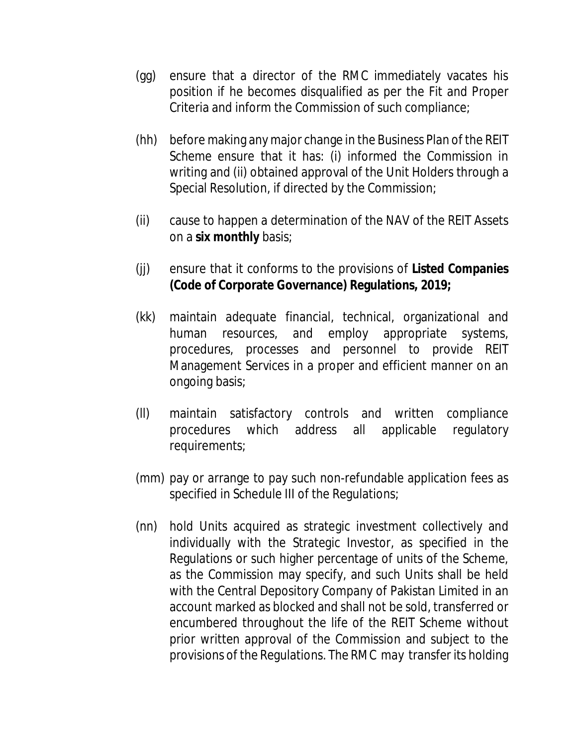- (gg) ensure that a director of the RMC immediately vacates his position if he becomes disqualified as per the Fit and Proper Criteria and inform the Commission of such compliance;
- (hh) before making any major change in the Business Plan of the REIT Scheme ensure that it has: (i) informed the Commission in writing and (ii) obtained approval of the Unit Holders through a Special Resolution, if directed by the Commission;
- (ii) cause to happen a determination of the NAV of the REIT Assets on a **six monthly** basis;
- (jj) ensure that it conforms to the provisions of **Listed Companies (Code of Corporate Governance) Regulations, 2019;**
- (kk) maintain adequate financial, technical, organizational and human resources, and employ appropriate systems, procedures, processes and personnel to provide REIT Management Services in a proper and efficient manner on an ongoing basis;
- (ll) maintain satisfactory controls and written compliance procedures which address all applicable regulatory requirements;
- (mm) pay or arrange to pay such non-refundable application fees as specified in Schedule III of the Regulations;
- (nn) hold Units acquired as strategic investment collectively and individually with the Strategic Investor, as specified in the Regulations or such higher percentage of units of the Scheme, as the Commission may specify, and such Units shall be held with the Central Depository Company of Pakistan Limited in an account marked as blocked and shall not be sold, transferred or encumbered throughout the life of the REIT Scheme without prior written approval of the Commission and subject to the provisions of the Regulations. The RMC may transfer its holding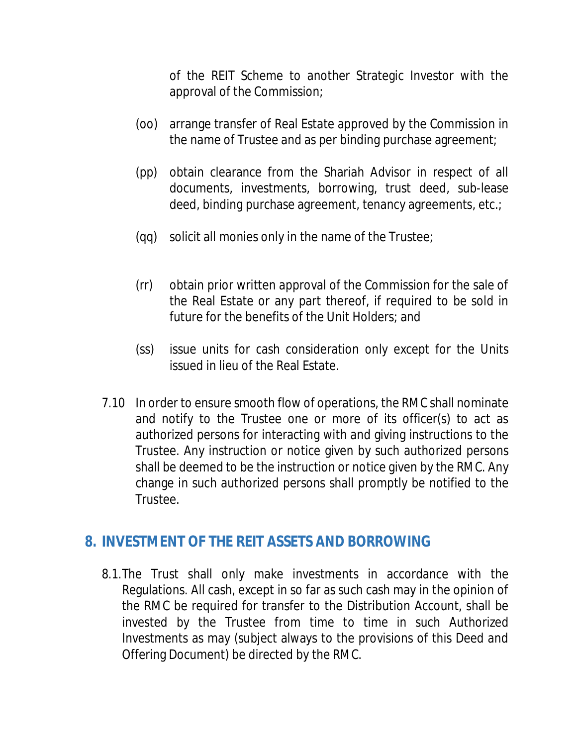of the REIT Scheme to another Strategic Investor with the approval of the Commission;

- (oo) arrange transfer of Real Estate approved by the Commission in the name of Trustee and as per binding purchase agreement;
- (pp) obtain clearance from the Shariah Advisor in respect of all documents, investments, borrowing, trust deed, sub-lease deed, binding purchase agreement, tenancy agreements, etc.;
- (qq) solicit all monies only in the name of the Trustee;
- (rr) obtain prior written approval of the Commission for the sale of the Real Estate or any part thereof, if required to be sold in future for the benefits of the Unit Holders; and
- (ss) issue units for cash consideration only except for the Units issued in lieu of the Real Estate.
- 7.10 In order to ensure smooth flow of operations, the RMC shall nominate and notify to the Trustee one or more of its officer(s) to act as authorized persons for interacting with and giving instructions to the Trustee. Any instruction or notice given by such authorized persons shall be deemed to be the instruction or notice given by the RMC. Any change in such authorized persons shall promptly be notified to the Trustee.

#### **8. INVESTMENT OF THE REIT ASSETS AND BORROWING**

8.1.The Trust shall only make investments in accordance with the Regulations. All cash, except in so far as such cash may in the opinion of the RMC be required for transfer to the Distribution Account, shall be invested by the Trustee from time to time in such Authorized Investments as may (subject always to the provisions of this Deed and Offering Document) be directed by the RMC.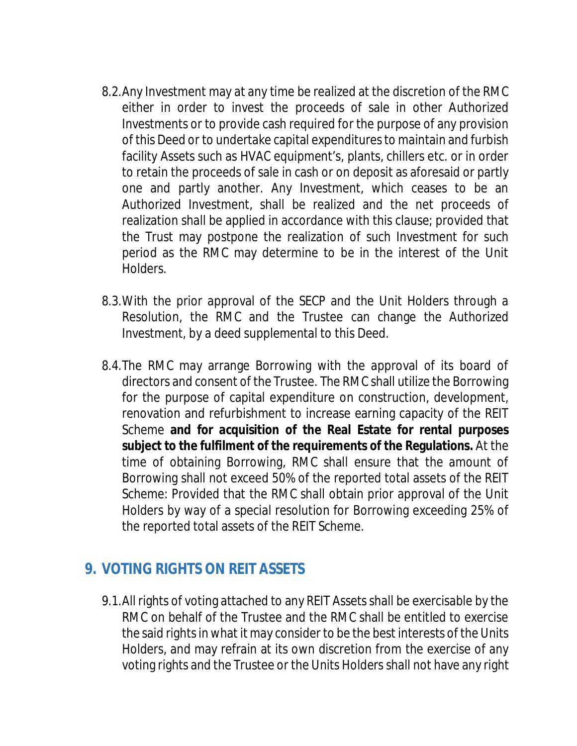- 8.2.Any Investment may at any time be realized at the discretion of the RMC either in order to invest the proceeds of sale in other Authorized Investments or to provide cash required for the purpose of any provision of this Deed or to undertake capital expenditures to maintain and furbish facility Assets such as HVAC equipment's, plants, chillers etc. or in order to retain the proceeds of sale in cash or on deposit as aforesaid or partly one and partly another. Any Investment, which ceases to be an Authorized Investment, shall be realized and the net proceeds of realization shall be applied in accordance with this clause; provided that the Trust may postpone the realization of such Investment for such period as the RMC may determine to be in the interest of the Unit Holders.
- 8.3.With the prior approval of the SECP and the Unit Holders through a Resolution, the RMC and the Trustee can change the Authorized Investment, by a deed supplemental to this Deed.
- 8.4.The RMC may arrange Borrowing with the approval of its board of directors and consent of the Trustee. The RMC shall utilize the Borrowing for the purpose of capital expenditure on construction, development, renovation and refurbishment to increase earning capacity of the REIT Scheme **and for acquisition of the Real Estate for rental purposes subject to the fulfilment of the requirements of the Regulations.** At the time of obtaining Borrowing, RMC shall ensure that the amount of Borrowing shall not exceed 50% of the reported total assets of the REIT Scheme: Provided that the RMC shall obtain prior approval of the Unit Holders by way of a special resolution for Borrowing exceeding 25% of the reported total assets of the REIT Scheme.

#### **9. VOTING RIGHTS ON REIT ASSETS**

9.1.All rights of voting attached to any REIT Assets shall be exercisable by the RMC on behalf of the Trustee and the RMC shall be entitled to exercise the said rights in what it may consider to be the best interests of the Units Holders, and may refrain at its own discretion from the exercise of any voting rights and the Trustee or the Units Holders shall not have any right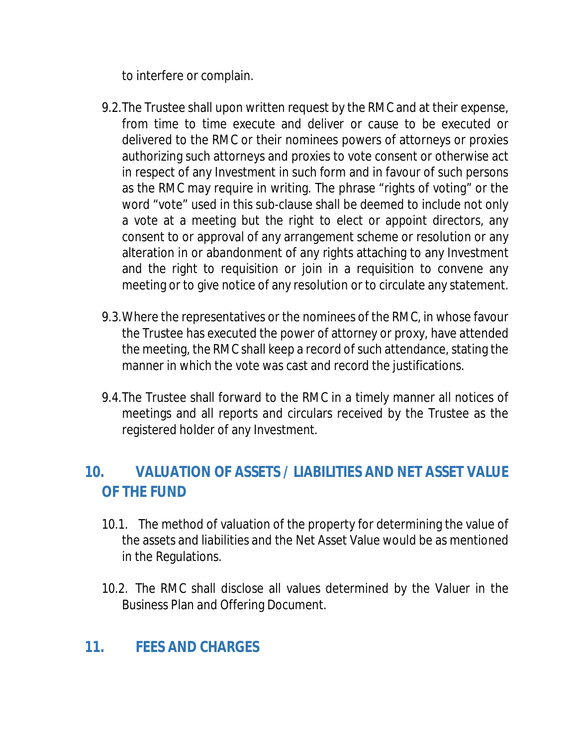to interfere or complain.

- 9.2.The Trustee shall upon written request by the RMC and at their expense, from time to time execute and deliver or cause to be executed or delivered to the RMC or their nominees powers of attorneys or proxies authorizing such attorneys and proxies to vote consent or otherwise act in respect of any Investment in such form and in favour of such persons as the RMC may require in writing. The phrase "rights of voting" or the word "vote" used in this sub-clause shall be deemed to include not only a vote at a meeting but the right to elect or appoint directors, any consent to or approval of any arrangement scheme or resolution or any alteration in or abandonment of any rights attaching to any Investment and the right to requisition or join in a requisition to convene any meeting or to give notice of any resolution or to circulate any statement.
- 9.3.Where the representatives or the nominees of the RMC, in whose favour the Trustee has executed the power of attorney or proxy, have attended the meeting, the RMC shall keep a record of such attendance, stating the manner in which the vote was cast and record the justifications.
- 9.4.The Trustee shall forward to the RMC in a timely manner all notices of meetings and all reports and circulars received by the Trustee as the registered holder of any Investment.

# **10. VALUATION OF ASSETS / LIABILITIES AND NET ASSET VALUE OF THE FUND**

- 10.1. The method of valuation of the property for determining the value of the assets and liabilities and the Net Asset Value would be as mentioned in the Regulations.
- 10.2. The RMC shall disclose all values determined by the Valuer in the Business Plan and Offering Document.

# **11. FEES AND CHARGES**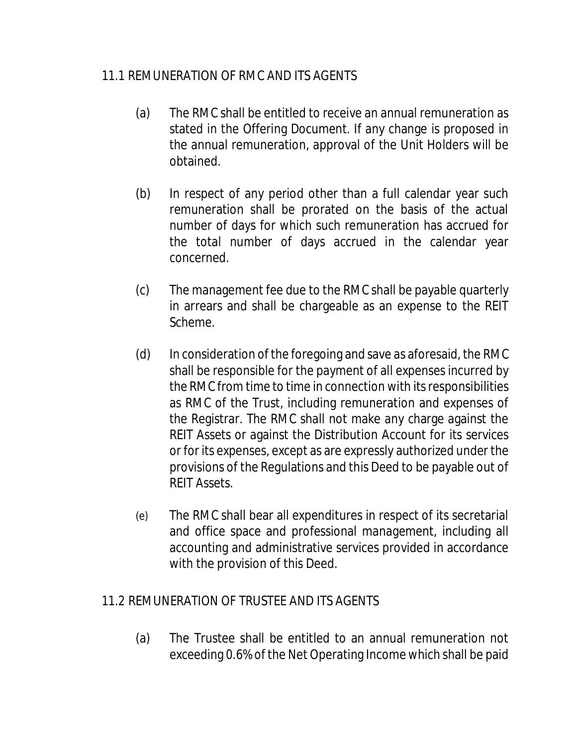#### 11.1 REMUNERATION OF RMC AND ITS AGENTS

- (a) The RMC shall be entitled to receive an annual remuneration as stated in the Offering Document. If any change is proposed in the annual remuneration, approval of the Unit Holders will be obtained.
- (b) In respect of any period other than a full calendar year such remuneration shall be prorated on the basis of the actual number of days for which such remuneration has accrued for the total number of days accrued in the calendar year concerned.
- (c) The management fee due to the RMC shall be payable quarterly in arrears and shall be chargeable as an expense to the REIT Scheme.
- (d) In consideration of the foregoing and save as aforesaid, the RMC shall be responsible for the payment of all expenses incurred by the RMC from time to time in connection with its responsibilities as RMC of the Trust, including remuneration and expenses of the Registrar. The RMC shall not make any charge against the REIT Assets or against the Distribution Account for its services or for its expenses, except as are expressly authorized under the provisions of the Regulations and this Deed to be payable out of REIT Assets.
- (e) The RMC shall bear all expenditures in respect of its secretarial and office space and professional management, including all accounting and administrative services provided in accordance with the provision of this Deed.

#### 11.2 REMUNERATION OF TRUSTEE AND ITS AGENTS

(a) The Trustee shall be entitled to an annual remuneration not exceeding 0.6% of the Net Operating Income which shall be paid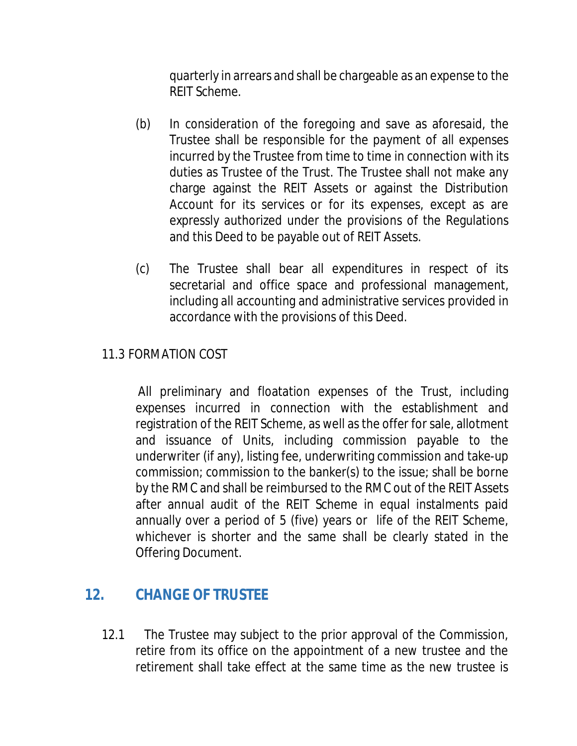quarterly in arrears and shall be chargeable as an expense to the REIT Scheme.

- (b) In consideration of the foregoing and save as aforesaid, the Trustee shall be responsible for the payment of all expenses incurred by the Trustee from time to time in connection with its duties as Trustee of the Trust. The Trustee shall not make any charge against the REIT Assets or against the Distribution Account for its services or for its expenses, except as are expressly authorized under the provisions of the Regulations and this Deed to be payable out of REIT Assets.
- (c) The Trustee shall bear all expenditures in respect of its secretarial and office space and professional management, including all accounting and administrative services provided in accordance with the provisions of this Deed.

#### 11.3 FORMATION COST

All preliminary and floatation expenses of the Trust, including expenses incurred in connection with the establishment and registration of the REIT Scheme, as well as the offer for sale, allotment and issuance of Units, including commission payable to the underwriter (if any), listing fee, underwriting commission and take-up commission; commission to the banker(s) to the issue; shall be borne by the RMC and shall be reimbursed to the RMC out of the REIT Assets after annual audit of the REIT Scheme in equal instalments paid annually over a period of 5 (five) years or life of the REIT Scheme, whichever is shorter and the same shall be clearly stated in the Offering Document.

#### **12. CHANGE OF TRUSTEE**

12.1 The Trustee may subject to the prior approval of the Commission, retire from its office on the appointment of a new trustee and the retirement shall take effect at the same time as the new trustee is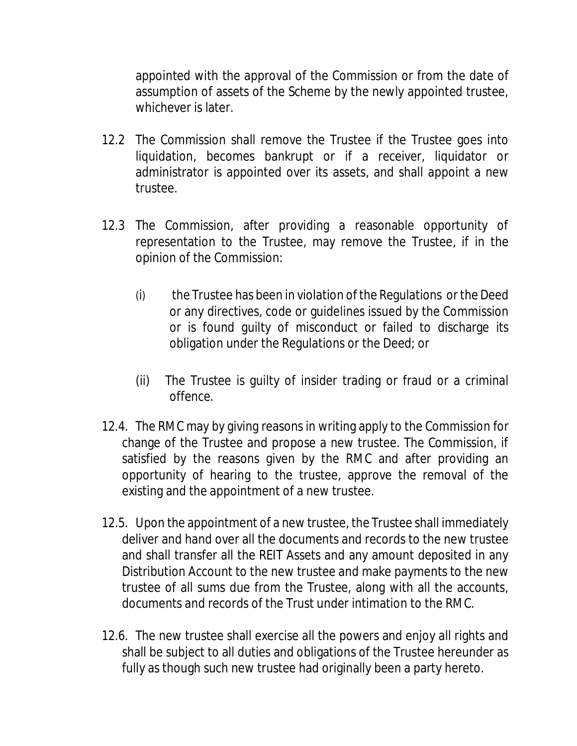appointed with the approval of the Commission or from the date of assumption of assets of the Scheme by the newly appointed trustee, whichever is later.

- 12.2 The Commission shall remove the Trustee if the Trustee goes into liquidation, becomes bankrupt or if a receiver, liquidator or administrator is appointed over its assets, and shall appoint a new trustee.
- 12.3 The Commission, after providing a reasonable opportunity of representation to the Trustee, may remove the Trustee, if in the opinion of the Commission:
	- (i) the Trustee has been in violation of the Regulations or the Deed or any directives, code or guidelines issued by the Commission or is found guilty of misconduct or failed to discharge its obligation under the Regulations or the Deed; or
	- (ii) The Trustee is guilty of insider trading or fraud or a criminal offence.
- 12.4. The RMC may by giving reasons in writing apply to the Commission for change of the Trustee and propose a new trustee. The Commission, if satisfied by the reasons given by the RMC and after providing an opportunity of hearing to the trustee, approve the removal of the existing and the appointment of a new trustee.
- 12.5. Upon the appointment of a new trustee, the Trustee shall immediately deliver and hand over all the documents and records to the new trustee and shall transfer all the REIT Assets and any amount deposited in any Distribution Account to the new trustee and make payments to the new trustee of all sums due from the Trustee, along with all the accounts, documents and records of the Trust under intimation to the RMC.
- 12.6. The new trustee shall exercise all the powers and enjoy all rights and shall be subject to all duties and obligations of the Trustee hereunder as fully as though such new trustee had originally been a party hereto.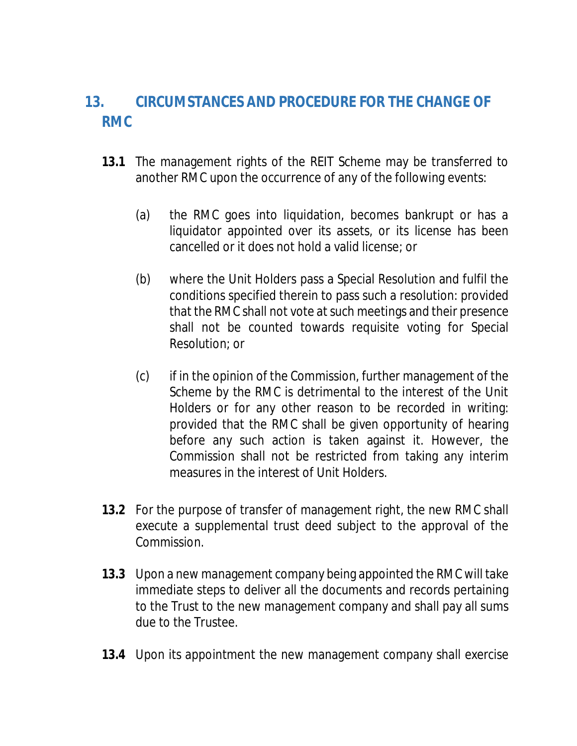# **13. CIRCUMSTANCES AND PROCEDURE FOR THE CHANGE OF RMC**

- **13.1** The management rights of the REIT Scheme may be transferred to another RMC upon the occurrence of any of the following events:
	- (a) the RMC goes into liquidation, becomes bankrupt or has a liquidator appointed over its assets, or its license has been cancelled or it does not hold a valid license; or
	- (b) where the Unit Holders pass a Special Resolution and fulfil the conditions specified therein to pass such a resolution: provided that the RMC shall not vote at such meetings and their presence shall not be counted towards requisite voting for Special Resolution; or
	- (c) if in the opinion of the Commission, further management of the Scheme by the RMC is detrimental to the interest of the Unit Holders or for any other reason to be recorded in writing: provided that the RMC shall be given opportunity of hearing before any such action is taken against it. However, the Commission shall not be restricted from taking any interim measures in the interest of Unit Holders.
- **13.2** For the purpose of transfer of management right, the new RMC shall execute a supplemental trust deed subject to the approval of the Commission.
- **13.3** Upon a new management company being appointed the RMC will take immediate steps to deliver all the documents and records pertaining to the Trust to the new management company and shall pay all sums due to the Trustee.
- **13.4** Upon its appointment the new management company shall exercise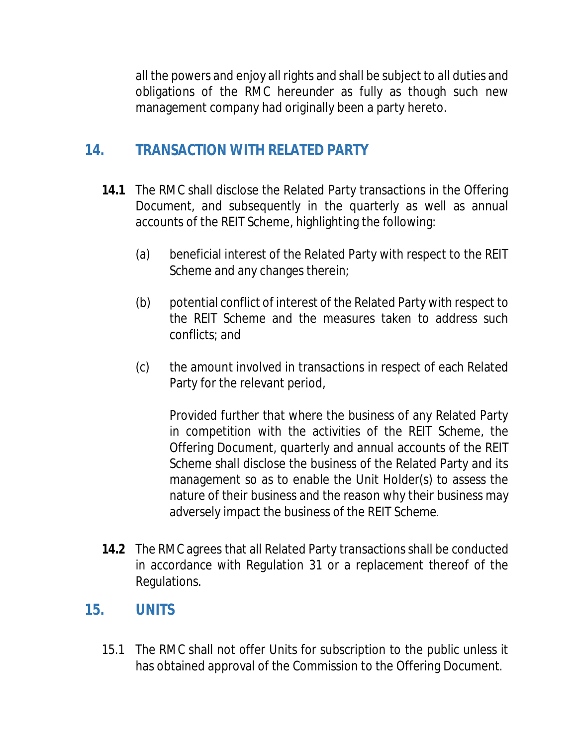all the powers and enjoy all rights and shall be subject to all duties and obligations of the RMC hereunder as fully as though such new management company had originally been a party hereto.

# **14. TRANSACTION WITH RELATED PARTY**

- **14.1** The RMC shall disclose the Related Party transactions in the Offering Document, and subsequently in the quarterly as well as annual accounts of the REIT Scheme, highlighting the following:
	- (a) beneficial interest of the Related Party with respect to the REIT Scheme and any changes therein;
	- (b) potential conflict of interest of the Related Party with respect to the REIT Scheme and the measures taken to address such conflicts; and
	- (c) the amount involved in transactions in respect of each Related Party for the relevant period,

Provided further that where the business of any Related Party in competition with the activities of the REIT Scheme, the Offering Document, quarterly and annual accounts of the REIT Scheme shall disclose the business of the Related Party and its management so as to enable the Unit Holder(s) to assess the nature of their business and the reason why their business may adversely impact the business of the REIT Scheme.

**14.2** The RMC agrees that all Related Party transactions shall be conducted in accordance with Regulation 31 or a replacement thereof of the Regulations.

# **15. UNITS**

15.1 The RMC shall not offer Units for subscription to the public unless it has obtained approval of the Commission to the Offering Document.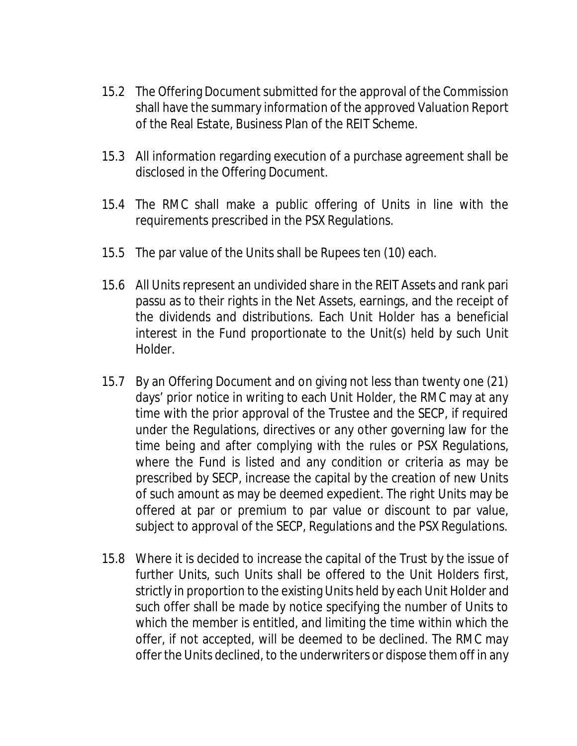- 15.2 The Offering Document submitted for the approval of the Commission shall have the summary information of the approved Valuation Report of the Real Estate, Business Plan of the REIT Scheme.
- 15.3 All information regarding execution of a purchase agreement shall be disclosed in the Offering Document.
- 15.4 The RMC shall make a public offering of Units in line with the requirements prescribed in the PSX Regulations.
- 15.5 The par value of the Units shall be Rupees ten (10) each.
- 15.6 All Units represent an undivided share in the REIT Assets and rank pari passu as to their rights in the Net Assets, earnings, and the receipt of the dividends and distributions. Each Unit Holder has a beneficial interest in the Fund proportionate to the Unit(s) held by such Unit Holder.
- 15.7 By an Offering Document and on giving not less than twenty one (21) days' prior notice in writing to each Unit Holder, the RMC may at any time with the prior approval of the Trustee and the SECP, if required under the Regulations, directives or any other governing law for the time being and after complying with the rules or PSX Regulations, where the Fund is listed and any condition or criteria as may be prescribed by SECP, increase the capital by the creation of new Units of such amount as may be deemed expedient. The right Units may be offered at par or premium to par value or discount to par value, subject to approval of the SECP, Regulations and the PSX Regulations.
- 15.8 Where it is decided to increase the capital of the Trust by the issue of further Units, such Units shall be offered to the Unit Holders first, strictly in proportion to the existing Units held by each Unit Holder and such offer shall be made by notice specifying the number of Units to which the member is entitled, and limiting the time within which the offer, if not accepted, will be deemed to be declined. The RMC may offer the Units declined, to the underwriters or dispose them off in any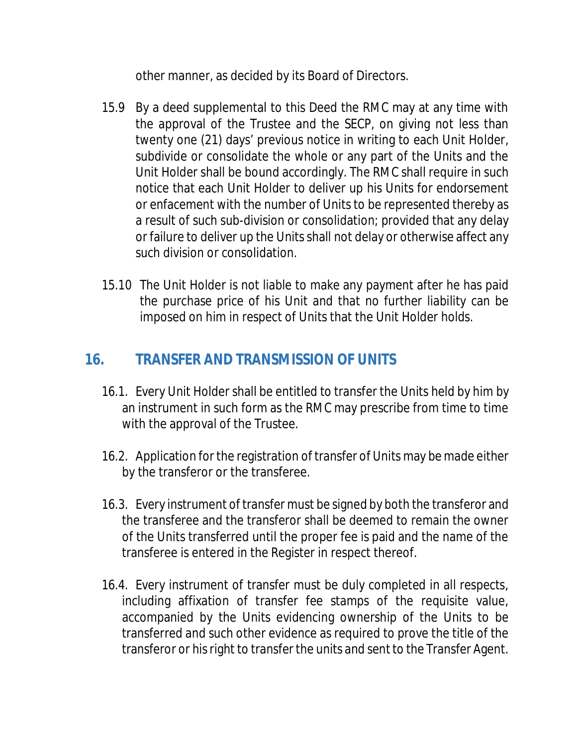other manner, as decided by its Board of Directors.

- 15.9 By a deed supplemental to this Deed the RMC may at any time with the approval of the Trustee and the SECP, on giving not less than twenty one (21) days' previous notice in writing to each Unit Holder, subdivide or consolidate the whole or any part of the Units and the Unit Holder shall be bound accordingly. The RMC shall require in such notice that each Unit Holder to deliver up his Units for endorsement or enfacement with the number of Units to be represented thereby as a result of such sub-division or consolidation; provided that any delay or failure to deliver up the Units shall not delay or otherwise affect any such division or consolidation.
- 15.10 The Unit Holder is not liable to make any payment after he has paid the purchase price of his Unit and that no further liability can be imposed on him in respect of Units that the Unit Holder holds.

# **16. TRANSFER AND TRANSMISSION OF UNITS**

- 16.1. Every Unit Holder shall be entitled to transfer the Units held by him by an instrument in such form as the RMC may prescribe from time to time with the approval of the Trustee.
- 16.2. Application for the registration of transfer of Units may be made either by the transferor or the transferee.
- 16.3. Every instrument of transfer must be signed by both the transferor and the transferee and the transferor shall be deemed to remain the owner of the Units transferred until the proper fee is paid and the name of the transferee is entered in the Register in respect thereof.
- 16.4. Every instrument of transfer must be duly completed in all respects, including affixation of transfer fee stamps of the requisite value, accompanied by the Units evidencing ownership of the Units to be transferred and such other evidence as required to prove the title of the transferor or his right to transfer the units and sent to the Transfer Agent.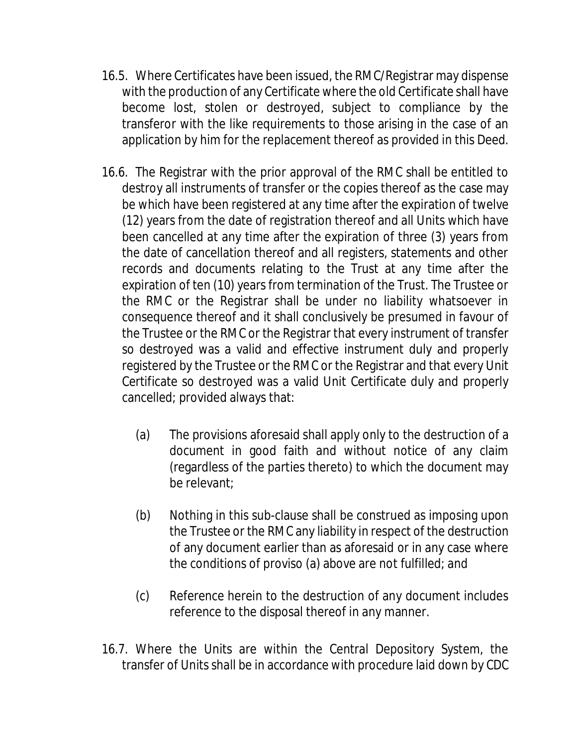- 16.5. Where Certificates have been issued, the RMC/Registrar may dispense with the production of any Certificate where the old Certificate shall have become lost, stolen or destroyed, subject to compliance by the transferor with the like requirements to those arising in the case of an application by him for the replacement thereof as provided in this Deed.
- 16.6. The Registrar with the prior approval of the RMC shall be entitled to destroy all instruments of transfer or the copies thereof as the case may be which have been registered at any time after the expiration of twelve (12) years from the date of registration thereof and all Units which have been cancelled at any time after the expiration of three (3) years from the date of cancellation thereof and all registers, statements and other records and documents relating to the Trust at any time after the expiration of ten (10) years from termination of the Trust. The Trustee or the RMC or the Registrar shall be under no liability whatsoever in consequence thereof and it shall conclusively be presumed in favour of the Trustee or the RMC or the Registrar that every instrument of transfer so destroyed was a valid and effective instrument duly and properly registered by the Trustee or the RMC or the Registrar and that every Unit Certificate so destroyed was a valid Unit Certificate duly and properly cancelled; provided always that:
	- (a) The provisions aforesaid shall apply only to the destruction of a document in good faith and without notice of any claim (regardless of the parties thereto) to which the document may be relevant;
	- (b) Nothing in this sub-clause shall be construed as imposing upon the Trustee or the RMC any liability in respect of the destruction of any document earlier than as aforesaid or in any case where the conditions of proviso (a) above are not fulfilled; and
	- (c) Reference herein to the destruction of any document includes reference to the disposal thereof in any manner.
- 16.7. Where the Units are within the Central Depository System, the transfer of Units shall be in accordance with procedure laid down by CDC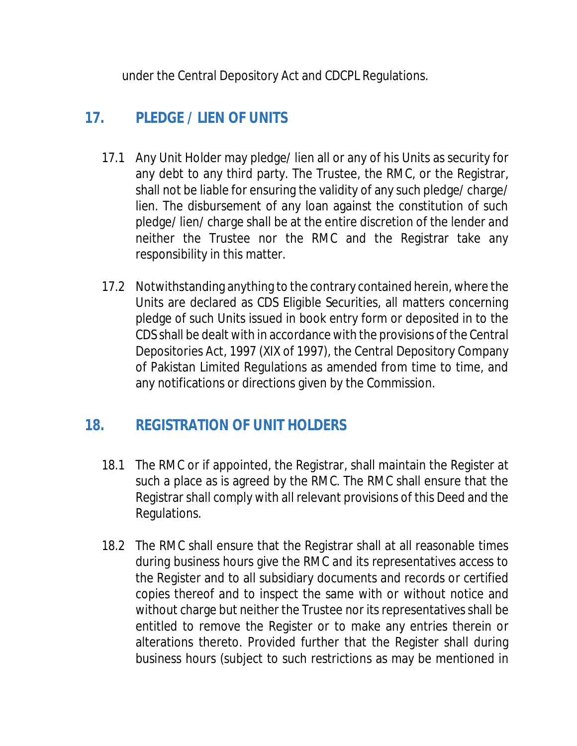under the Central Depository Act and CDCPL Regulations.

# **17. PLEDGE / LIEN OF UNITS**

- 17.1 Any Unit Holder may pledge/ lien all or any of his Units as security for any debt to any third party. The Trustee, the RMC, or the Registrar, shall not be liable for ensuring the validity of any such pledge/ charge/ lien. The disbursement of any loan against the constitution of such pledge/ lien/ charge shall be at the entire discretion of the lender and neither the Trustee nor the RMC and the Registrar take any responsibility in this matter.
- 17.2 Notwithstanding anything to the contrary contained herein, where the Units are declared as CDS Eligible Securities, all matters concerning pledge of such Units issued in book entry form or deposited in to the CDS shall be dealt with in accordance with the provisions of the Central Depositories Act, 1997 (XIX of 1997), the Central Depository Company of Pakistan Limited Regulations as amended from time to time, and any notifications or directions given by the Commission.

# **18. REGISTRATION OF UNIT HOLDERS**

- 18.1 The RMC or if appointed, the Registrar, shall maintain the Register at such a place as is agreed by the RMC. The RMC shall ensure that the Registrar shall comply with all relevant provisions of this Deed and the Regulations.
- 18.2 The RMC shall ensure that the Registrar shall at all reasonable times during business hours give the RMC and its representatives access to the Register and to all subsidiary documents and records or certified copies thereof and to inspect the same with or without notice and without charge but neither the Trustee nor its representatives shall be entitled to remove the Register or to make any entries therein or alterations thereto. Provided further that the Register shall during business hours (subject to such restrictions as may be mentioned in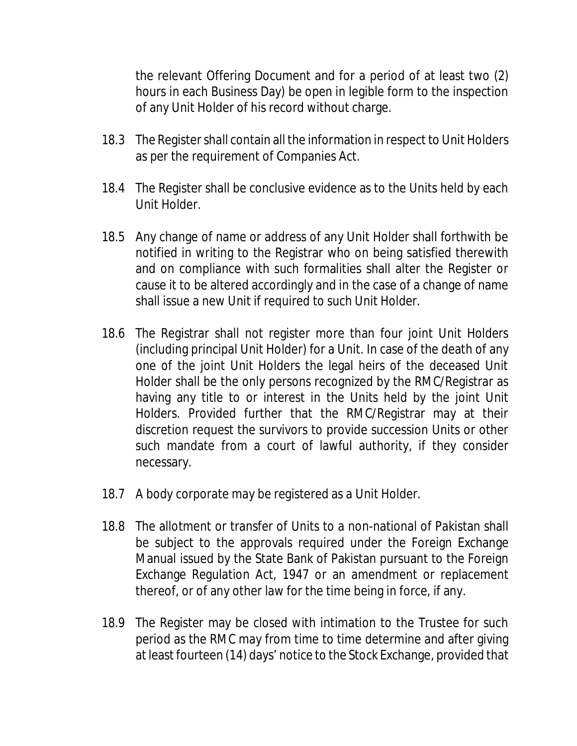the relevant Offering Document and for a period of at least two (2) hours in each Business Day) be open in legible form to the inspection of any Unit Holder of his record without charge.

- 18.3 The Register shall contain all the information in respect to Unit Holders as per the requirement of Companies Act.
- 18.4 The Register shall be conclusive evidence as to the Units held by each Unit Holder.
- 18.5 Any change of name or address of any Unit Holder shall forthwith be notified in writing to the Registrar who on being satisfied therewith and on compliance with such formalities shall alter the Register or cause it to be altered accordingly and in the case of a change of name shall issue a new Unit if required to such Unit Holder.
- 18.6 The Registrar shall not register more than four joint Unit Holders (including principal Unit Holder) for a Unit. In case of the death of any one of the joint Unit Holders the legal heirs of the deceased Unit Holder shall be the only persons recognized by the RMC/Registrar as having any title to or interest in the Units held by the joint Unit Holders. Provided further that the RMC/Registrar may at their discretion request the survivors to provide succession Units or other such mandate from a court of lawful authority, if they consider necessary.
- 18.7 A body corporate may be registered as a Unit Holder.
- 18.8 The allotment or transfer of Units to a non-national of Pakistan shall be subject to the approvals required under the Foreign Exchange Manual issued by the State Bank of Pakistan pursuant to the Foreign Exchange Regulation Act, 1947 or an amendment or replacement thereof, or of any other law for the time being in force, if any.
- 18.9 The Register may be closed with intimation to the Trustee for such period as the RMC may from time to time determine and after giving at least fourteen (14) days' notice to the Stock Exchange, provided that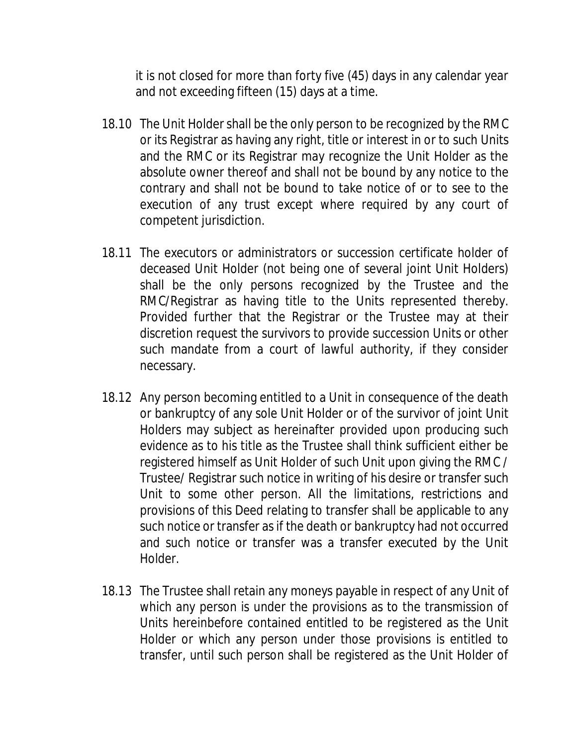it is not closed for more than forty five (45) days in any calendar year and not exceeding fifteen (15) days at a time.

- 18.10 The Unit Holder shall be the only person to be recognized by the RMC or its Registrar as having any right, title or interest in or to such Units and the RMC or its Registrar may recognize the Unit Holder as the absolute owner thereof and shall not be bound by any notice to the contrary and shall not be bound to take notice of or to see to the execution of any trust except where required by any court of competent jurisdiction.
- 18.11 The executors or administrators or succession certificate holder of deceased Unit Holder (not being one of several joint Unit Holders) shall be the only persons recognized by the Trustee and the RMC/Registrar as having title to the Units represented thereby. Provided further that the Registrar or the Trustee may at their discretion request the survivors to provide succession Units or other such mandate from a court of lawful authority, if they consider necessary.
- 18.12 Any person becoming entitled to a Unit in consequence of the death or bankruptcy of any sole Unit Holder or of the survivor of joint Unit Holders may subject as hereinafter provided upon producing such evidence as to his title as the Trustee shall think sufficient either be registered himself as Unit Holder of such Unit upon giving the RMC / Trustee/ Registrar such notice in writing of his desire or transfer such Unit to some other person. All the limitations, restrictions and provisions of this Deed relating to transfer shall be applicable to any such notice or transfer as if the death or bankruptcy had not occurred and such notice or transfer was a transfer executed by the Unit Holder.
- 18.13 The Trustee shall retain any moneys payable in respect of any Unit of which any person is under the provisions as to the transmission of Units hereinbefore contained entitled to be registered as the Unit Holder or which any person under those provisions is entitled to transfer, until such person shall be registered as the Unit Holder of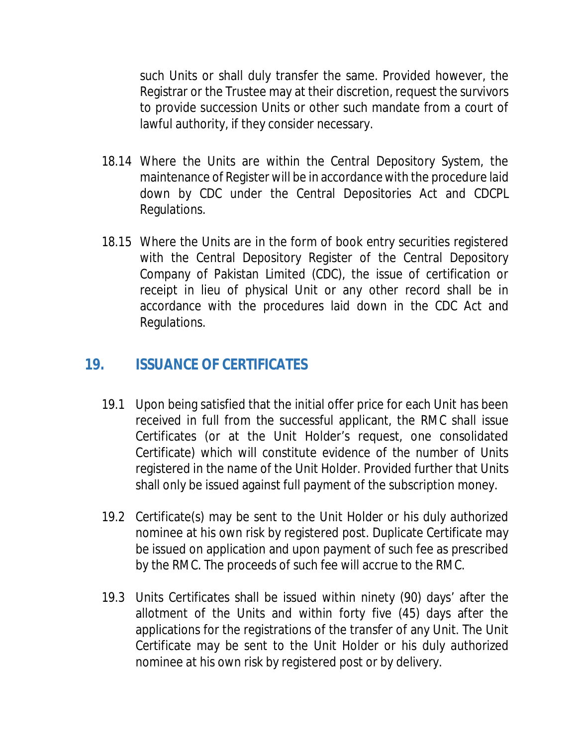such Units or shall duly transfer the same. Provided however, the Registrar or the Trustee may at their discretion, request the survivors to provide succession Units or other such mandate from a court of lawful authority, if they consider necessary.

- 18.14 Where the Units are within the Central Depository System, the maintenance of Register will be in accordance with the procedure laid down by CDC under the Central Depositories Act and CDCPL Regulations.
- 18.15 Where the Units are in the form of book entry securities registered with the Central Depository Register of the Central Depository Company of Pakistan Limited (CDC), the issue of certification or receipt in lieu of physical Unit or any other record shall be in accordance with the procedures laid down in the CDC Act and Regulations.

#### **19. ISSUANCE OF CERTIFICATES**

- 19.1 Upon being satisfied that the initial offer price for each Unit has been received in full from the successful applicant, the RMC shall issue Certificates (or at the Unit Holder's request, one consolidated Certificate) which will constitute evidence of the number of Units registered in the name of the Unit Holder. Provided further that Units shall only be issued against full payment of the subscription money.
- 19.2 Certificate(s) may be sent to the Unit Holder or his duly authorized nominee at his own risk by registered post. Duplicate Certificate may be issued on application and upon payment of such fee as prescribed by the RMC. The proceeds of such fee will accrue to the RMC.
- 19.3 Units Certificates shall be issued within ninety (90) days' after the allotment of the Units and within forty five (45) days after the applications for the registrations of the transfer of any Unit. The Unit Certificate may be sent to the Unit Holder or his duly authorized nominee at his own risk by registered post or by delivery.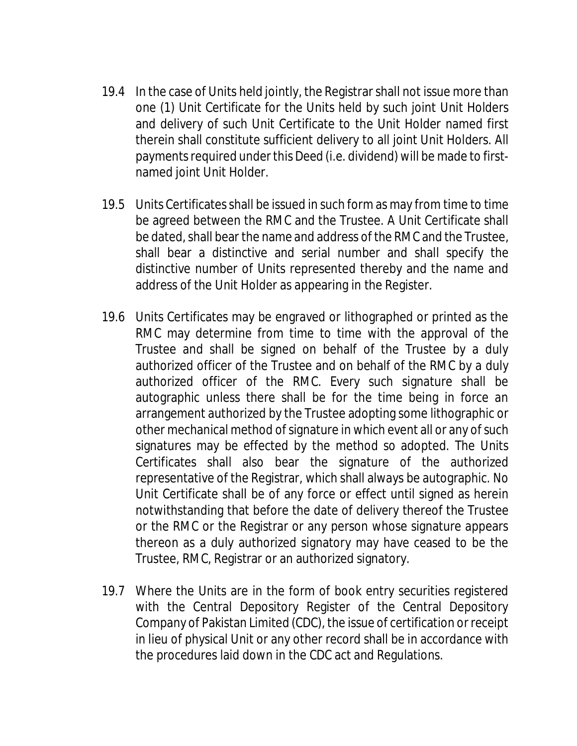- 19.4 In the case of Units held jointly, the Registrar shall not issue more than one (1) Unit Certificate for the Units held by such joint Unit Holders and delivery of such Unit Certificate to the Unit Holder named first therein shall constitute sufficient delivery to all joint Unit Holders. All payments required under this Deed (i.e. dividend) will be made to firstnamed joint Unit Holder.
- 19.5 Units Certificates shall be issued in such form as may from time to time be agreed between the RMC and the Trustee. A Unit Certificate shall be dated, shall bear the name and address of the RMC and the Trustee, shall bear a distinctive and serial number and shall specify the distinctive number of Units represented thereby and the name and address of the Unit Holder as appearing in the Register.
- 19.6 Units Certificates may be engraved or lithographed or printed as the RMC may determine from time to time with the approval of the Trustee and shall be signed on behalf of the Trustee by a duly authorized officer of the Trustee and on behalf of the RMC by a duly authorized officer of the RMC. Every such signature shall be autographic unless there shall be for the time being in force an arrangement authorized by the Trustee adopting some lithographic or other mechanical method of signature in which event all or any of such signatures may be effected by the method so adopted. The Units Certificates shall also bear the signature of the authorized representative of the Registrar, which shall always be autographic. No Unit Certificate shall be of any force or effect until signed as herein notwithstanding that before the date of delivery thereof the Trustee or the RMC or the Registrar or any person whose signature appears thereon as a duly authorized signatory may have ceased to be the Trustee, RMC, Registrar or an authorized signatory.
- 19.7 Where the Units are in the form of book entry securities registered with the Central Depository Register of the Central Depository Company of Pakistan Limited (CDC), the issue of certification or receipt in lieu of physical Unit or any other record shall be in accordance with the procedures laid down in the CDC act and Regulations.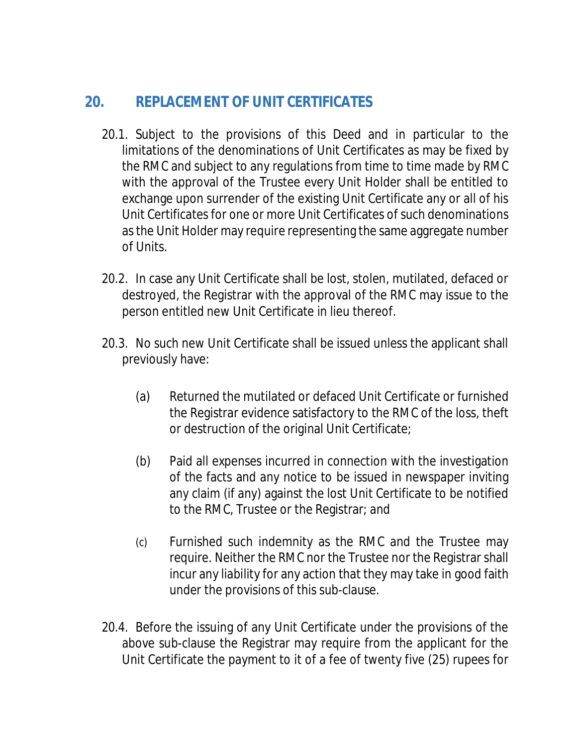# **20. REPLACEMENT OF UNIT CERTIFICATES**

- 20.1. Subject to the provisions of this Deed and in particular to the limitations of the denominations of Unit Certificates as may be fixed by the RMC and subject to any regulations from time to time made by RMC with the approval of the Trustee every Unit Holder shall be entitled to exchange upon surrender of the existing Unit Certificate any or all of his Unit Certificates for one or more Unit Certificates of such denominations as the Unit Holder may require representing the same aggregate number of Units.
- 20.2. In case any Unit Certificate shall be lost, stolen, mutilated, defaced or destroyed, the Registrar with the approval of the RMC may issue to the person entitled new Unit Certificate in lieu thereof.
- 20.3. No such new Unit Certificate shall be issued unless the applicant shall previously have:
	- (a) Returned the mutilated or defaced Unit Certificate or furnished the Registrar evidence satisfactory to the RMC of the loss, theft or destruction of the original Unit Certificate;
	- (b) Paid all expenses incurred in connection with the investigation of the facts and any notice to be issued in newspaper inviting any claim (if any) against the lost Unit Certificate to be notified to the RMC, Trustee or the Registrar; and
	- (c) Furnished such indemnity as the RMC and the Trustee may require. Neither the RMC nor the Trustee nor the Registrar shall incur any liability for any action that they may take in good faith under the provisions of this sub-clause.
- 20.4. Before the issuing of any Unit Certificate under the provisions of the above sub-clause the Registrar may require from the applicant for the Unit Certificate the payment to it of a fee of twenty five (25) rupees for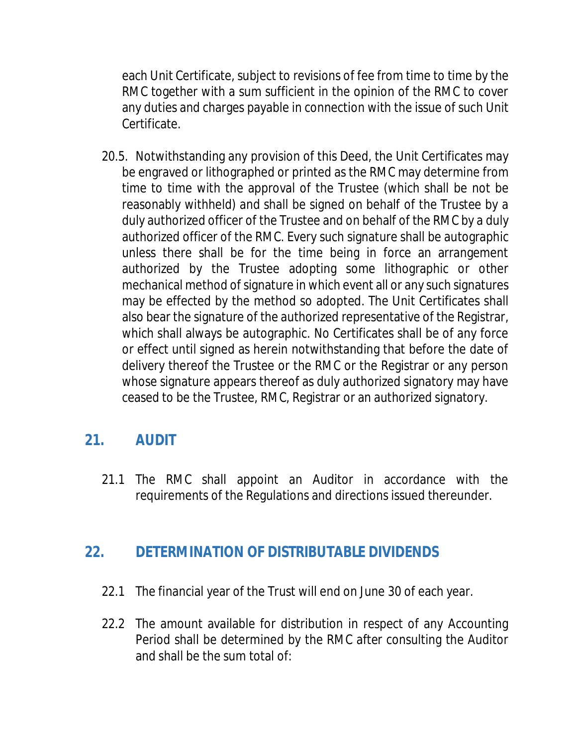each Unit Certificate, subject to revisions of fee from time to time by the RMC together with a sum sufficient in the opinion of the RMC to cover any duties and charges payable in connection with the issue of such Unit Certificate.

20.5. Notwithstanding any provision of this Deed, the Unit Certificates may be engraved or lithographed or printed as the RMC may determine from time to time with the approval of the Trustee (which shall be not be reasonably withheld) and shall be signed on behalf of the Trustee by a duly authorized officer of the Trustee and on behalf of the RMC by a duly authorized officer of the RMC. Every such signature shall be autographic unless there shall be for the time being in force an arrangement authorized by the Trustee adopting some lithographic or other mechanical method of signature in which event all or any such signatures may be effected by the method so adopted. The Unit Certificates shall also bear the signature of the authorized representative of the Registrar, which shall always be autographic. No Certificates shall be of any force or effect until signed as herein notwithstanding that before the date of delivery thereof the Trustee or the RMC or the Registrar or any person whose signature appears thereof as duly authorized signatory may have ceased to be the Trustee, RMC, Registrar or an authorized signatory.

# **21. AUDIT**

21.1 The RMC shall appoint an Auditor in accordance with the requirements of the Regulations and directions issued thereunder.

# **22. DETERMINATION OF DISTRIBUTABLE DIVIDENDS**

- 22.1 The financial year of the Trust will end on June 30 of each year.
- 22.2 The amount available for distribution in respect of any Accounting Period shall be determined by the RMC after consulting the Auditor and shall be the sum total of: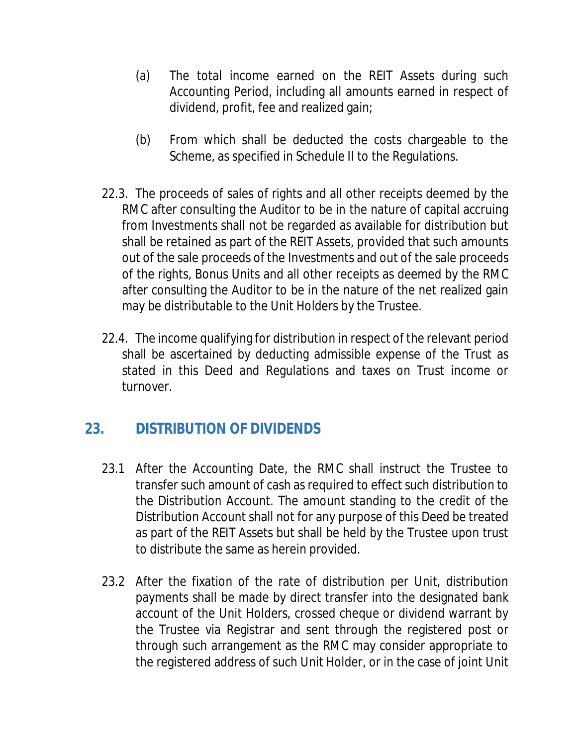- (a) The total income earned on the REIT Assets during such Accounting Period, including all amounts earned in respect of dividend, profit, fee and realized gain;
- (b) From which shall be deducted the costs chargeable to the Scheme, as specified in Schedule II to the Regulations.
- 22.3. The proceeds of sales of rights and all other receipts deemed by the RMC after consulting the Auditor to be in the nature of capital accruing from Investments shall not be regarded as available for distribution but shall be retained as part of the REIT Assets, provided that such amounts out of the sale proceeds of the Investments and out of the sale proceeds of the rights, Bonus Units and all other receipts as deemed by the RMC after consulting the Auditor to be in the nature of the net realized gain may be distributable to the Unit Holders by the Trustee.
- 22.4. The income qualifying for distribution in respect of the relevant period shall be ascertained by deducting admissible expense of the Trust as stated in this Deed and Regulations and taxes on Trust income or turnover.

# **23. DISTRIBUTION OF DIVIDENDS**

- 23.1 After the Accounting Date, the RMC shall instruct the Trustee to transfer such amount of cash as required to effect such distribution to the Distribution Account. The amount standing to the credit of the Distribution Account shall not for any purpose of this Deed be treated as part of the REIT Assets but shall be held by the Trustee upon trust to distribute the same as herein provided.
- 23.2 After the fixation of the rate of distribution per Unit, distribution payments shall be made by direct transfer into the designated bank account of the Unit Holders, crossed cheque or dividend warrant by the Trustee via Registrar and sent through the registered post or through such arrangement as the RMC may consider appropriate to the registered address of such Unit Holder, or in the case of joint Unit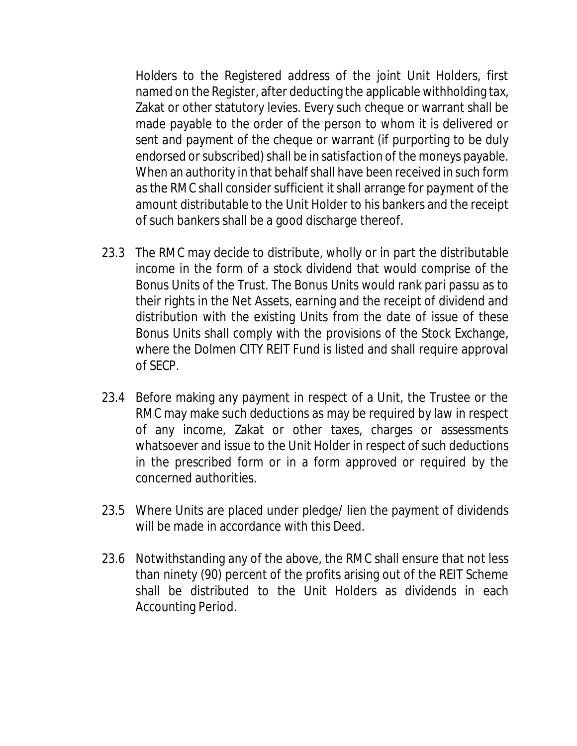Holders to the Registered address of the joint Unit Holders, first named on the Register, after deducting the applicable withholding tax, Zakat or other statutory levies. Every such cheque or warrant shall be made payable to the order of the person to whom it is delivered or sent and payment of the cheque or warrant (if purporting to be duly endorsed or subscribed) shall be in satisfaction of the moneys payable. When an authority in that behalf shall have been received in such form as the RMC shall consider sufficient it shall arrange for payment of the amount distributable to the Unit Holder to his bankers and the receipt of such bankers shall be a good discharge thereof.

- 23.3 The RMC may decide to distribute, wholly or in part the distributable income in the form of a stock dividend that would comprise of the Bonus Units of the Trust. The Bonus Units would rank *pari passu* as to their rights in the Net Assets, earning and the receipt of dividend and distribution with the existing Units from the date of issue of these Bonus Units shall comply with the provisions of the Stock Exchange, where the Dolmen CITY REIT Fund is listed and shall require approval of SECP.
- 23.4 Before making any payment in respect of a Unit, the Trustee or the RMC may make such deductions as may be required by law in respect of any income, Zakat or other taxes, charges or assessments whatsoever and issue to the Unit Holder in respect of such deductions in the prescribed form or in a form approved or required by the concerned authorities.
- 23.5 Where Units are placed under pledge/ lien the payment of dividends will be made in accordance with this Deed.
- 23.6 Notwithstanding any of the above, the RMC shall ensure that not less than ninety (90) percent of the profits arising out of the REIT Scheme shall be distributed to the Unit Holders as dividends in each Accounting Period.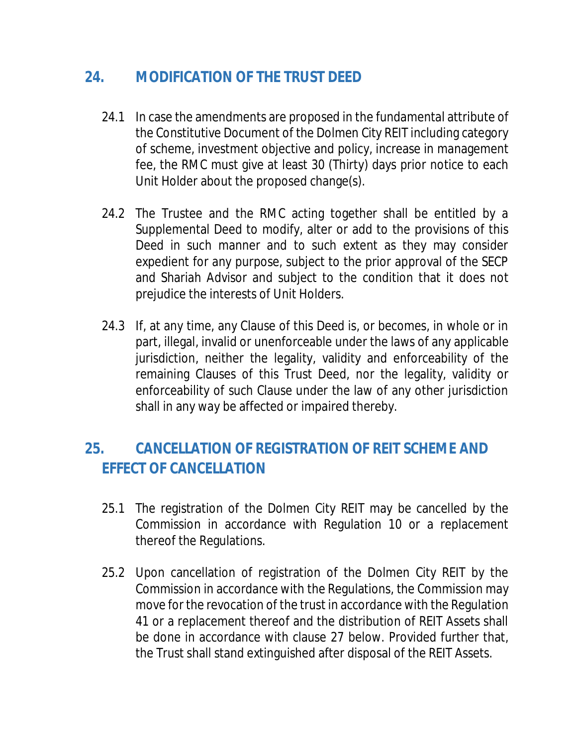# **24. MODIFICATION OF THE TRUST DEED**

- 24.1 In case the amendments are proposed in the fundamental attribute of the Constitutive Document of the Dolmen City REIT including category of scheme, investment objective and policy, increase in management fee, the RMC must give at least 30 (Thirty) days prior notice to each Unit Holder about the proposed change(s).
- 24.2 The Trustee and the RMC acting together shall be entitled by a Supplemental Deed to modify, alter or add to the provisions of this Deed in such manner and to such extent as they may consider expedient for any purpose, subject to the prior approval of the SECP and Shariah Advisor and subject to the condition that it does not prejudice the interests of Unit Holders.
- 24.3 If, at any time, any Clause of this Deed is, or becomes, in whole or in part, illegal, invalid or unenforceable under the laws of any applicable jurisdiction, neither the legality, validity and enforceability of the remaining Clauses of this Trust Deed, nor the legality, validity or enforceability of such Clause under the law of any other jurisdiction shall in any way be affected or impaired thereby.

# **25. CANCELLATION OF REGISTRATION OF REIT SCHEME AND EFFECT OF CANCELLATION**

- 25.1 The registration of the Dolmen City REIT may be cancelled by the Commission in accordance with Regulation 10 or a replacement thereof the Regulations.
- 25.2 Upon cancellation of registration of the Dolmen City REIT by the Commission in accordance with the Regulations, the Commission may move for the revocation of the trust in accordance with the Regulation 41 or a replacement thereof and the distribution of REIT Assets shall be done in accordance with clause 27 below. Provided further that, the Trust shall stand extinguished after disposal of the REIT Assets.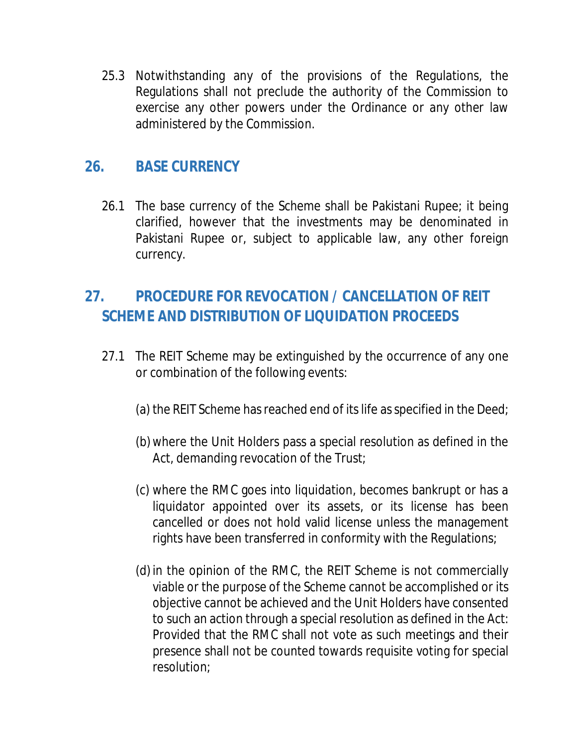25.3 Notwithstanding any of the provisions of the Regulations, the Regulations shall not preclude the authority of the Commission to exercise any other powers under the Ordinance or any other law administered by the Commission.

# **26. BASE CURRENCY**

26.1 The base currency of the Scheme shall be Pakistani Rupee; it being clarified, however that the investments may be denominated in Pakistani Rupee or, subject to applicable law, any other foreign currency.

# **27. PROCEDURE FOR REVOCATION / CANCELLATION OF REIT SCHEME AND DISTRIBUTION OF LIQUIDATION PROCEEDS**

- 27.1 The REIT Scheme may be extinguished by the occurrence of any one or combination of the following events:
	- (a) the REIT Scheme has reached end of its life as specified in the Deed;
	- (b) where the Unit Holders pass a special resolution as defined in the Act, demanding revocation of the Trust;
	- (c) where the RMC goes into liquidation, becomes bankrupt or has a liquidator appointed over its assets, or its license has been cancelled or does not hold valid license unless the management rights have been transferred in conformity with the Regulations;
	- (d) in the opinion of the RMC, the REIT Scheme is not commercially viable or the purpose of the Scheme cannot be accomplished or its objective cannot be achieved and the Unit Holders have consented to such an action through a special resolution as defined in the Act: Provided that the RMC shall not vote as such meetings and their presence shall not be counted towards requisite voting for special resolution;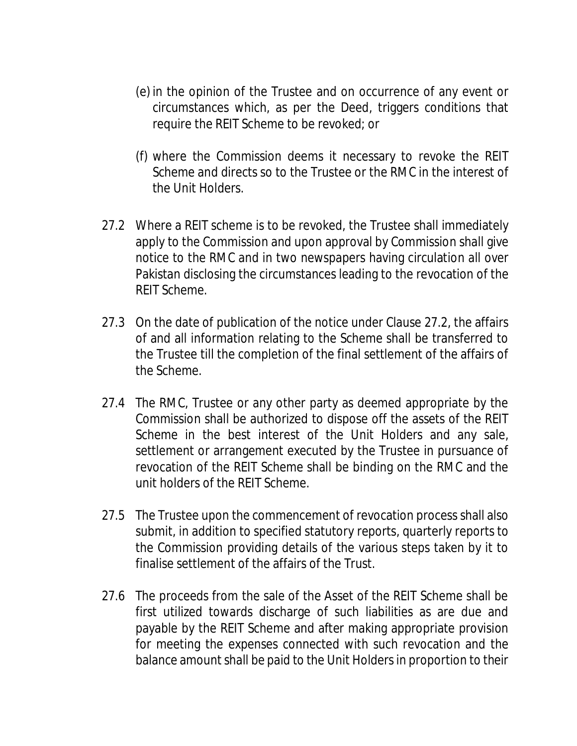- (e) in the opinion of the Trustee and on occurrence of any event or circumstances which, as per the Deed, triggers conditions that require the REIT Scheme to be revoked; or
- (f) where the Commission deems it necessary to revoke the REIT Scheme and directs so to the Trustee or the RMC in the interest of the Unit Holders.
- 27.2 Where a REIT scheme is to be revoked, the Trustee shall immediately apply to the Commission and upon approval by Commission shall give notice to the RMC and in two newspapers having circulation all over Pakistan disclosing the circumstances leading to the revocation of the REIT Scheme.
- 27.3 On the date of publication of the notice under Clause 27.2, the affairs of and all information relating to the Scheme shall be transferred to the Trustee till the completion of the final settlement of the affairs of the Scheme.
- 27.4 The RMC, Trustee or any other party as deemed appropriate by the Commission shall be authorized to dispose off the assets of the REIT Scheme in the best interest of the Unit Holders and any sale, settlement or arrangement executed by the Trustee in pursuance of revocation of the REIT Scheme shall be binding on the RMC and the unit holders of the REIT Scheme.
- 27.5 The Trustee upon the commencement of revocation process shall also submit, in addition to specified statutory reports, quarterly reports to the Commission providing details of the various steps taken by it to finalise settlement of the affairs of the Trust.
- 27.6 The proceeds from the sale of the Asset of the REIT Scheme shall be first utilized towards discharge of such liabilities as are due and payable by the REIT Scheme and after making appropriate provision for meeting the expenses connected with such revocation and the balance amount shall be paid to the Unit Holders in proportion to their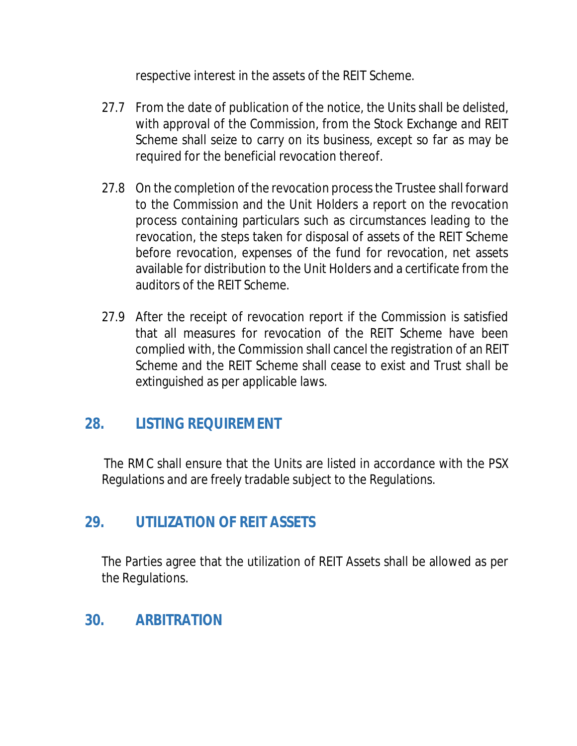respective interest in the assets of the REIT Scheme.

- 27.7 From the date of publication of the notice, the Units shall be delisted, with approval of the Commission, from the Stock Exchange and REIT Scheme shall seize to carry on its business, except so far as may be required for the beneficial revocation thereof.
- 27.8 On the completion of the revocation process the Trustee shall forward to the Commission and the Unit Holders a report on the revocation process containing particulars such as circumstances leading to the revocation, the steps taken for disposal of assets of the REIT Scheme before revocation, expenses of the fund for revocation, net assets available for distribution to the Unit Holders and a certificate from the auditors of the REIT Scheme.
- 27.9 After the receipt of revocation report if the Commission is satisfied that all measures for revocation of the REIT Scheme have been complied with, the Commission shall cancel the registration of an REIT Scheme and the REIT Scheme shall cease to exist and Trust shall be extinguished as per applicable laws.

# **28. LISTING REQUIREMENT**

The RMC shall ensure that the Units are listed in accordance with the PSX Regulations and are freely tradable subject to the Regulations.

# **29. UTILIZATION OF REIT ASSETS**

The Parties agree that the utilization of REIT Assets shall be allowed as per the Regulations.

# **30. ARBITRATION**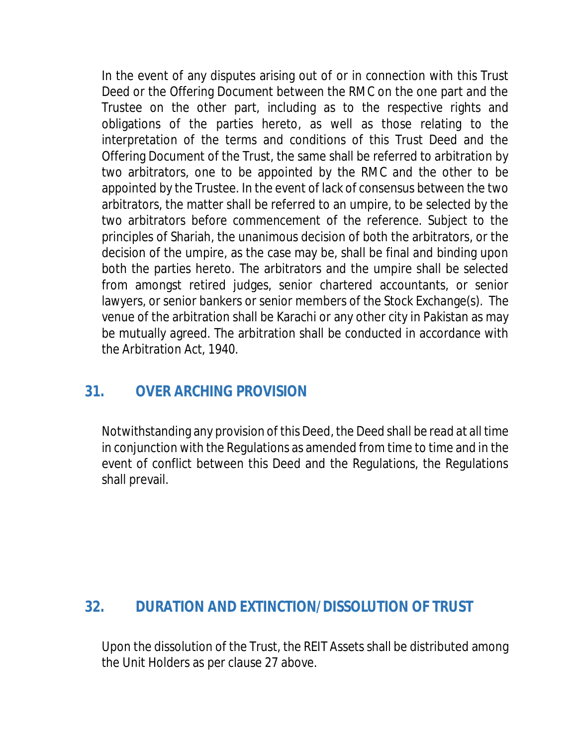In the event of any disputes arising out of or in connection with this Trust Deed or the Offering Document between the RMC on the one part and the Trustee on the other part, including as to the respective rights and obligations of the parties hereto, as well as those relating to the interpretation of the terms and conditions of this Trust Deed and the Offering Document of the Trust, the same shall be referred to arbitration by two arbitrators, one to be appointed by the RMC and the other to be appointed by the Trustee. In the event of lack of consensus between the two arbitrators, the matter shall be referred to an umpire, to be selected by the two arbitrators before commencement of the reference. Subject to the principles of Shariah, the unanimous decision of both the arbitrators, or the decision of the umpire, as the case may be, shall be final and binding upon both the parties hereto. The arbitrators and the umpire shall be selected from amongst retired judges, senior chartered accountants, or senior lawyers, or senior bankers or senior members of the Stock Exchange(s). The venue of the arbitration shall be Karachi or any other city in Pakistan as may be mutually agreed. The arbitration shall be conducted in accordance with the Arbitration Act, 1940.

# **31. OVER ARCHING PROVISION**

Notwithstanding any provision of this Deed, the Deed shall be read at all time in conjunction with the Regulations as amended from time to time and in the event of conflict between this Deed and the Regulations, the Regulations shall prevail.

# **32. DURATION AND EXTINCTION/DISSOLUTION OF TRUST**

Upon the dissolution of the Trust, the REIT Assets shall be distributed among the Unit Holders as per clause 27 above.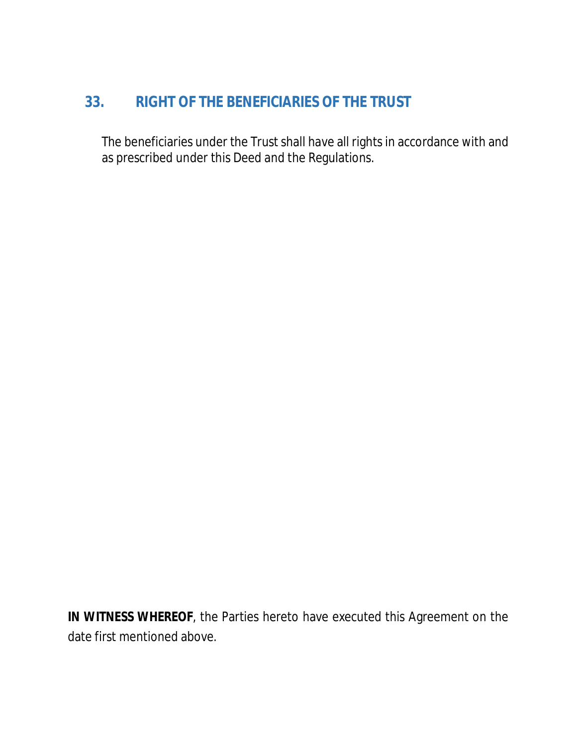# **33. RIGHT OF THE BENEFICIARIES OF THE TRUST**

The beneficiaries under the Trust shall have all rights in accordance with and as prescribed under this Deed and the Regulations.

**IN WITNESS WHEREOF**, the Parties hereto have executed this Agreement on the date first mentioned above.